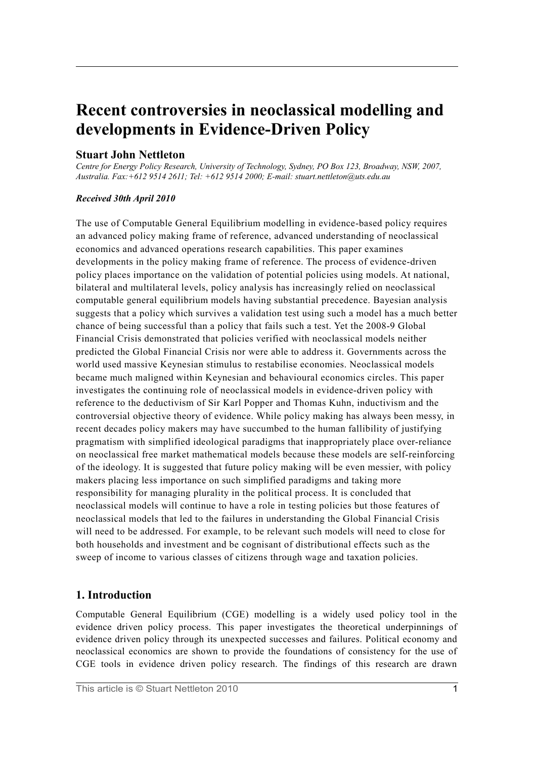# **Recent controversies in neoclassical modelling and developments in Evidence-Driven Policy**

## **Stuart John Nettleton**

*Centre for Energy Policy Research, University of Technology, Sydney, PO Box 123, Broadway, NSW, 2007, Australia. Fax:+612 9514 2611; Tel: +612 9514 2000; E-mail: stuart.nettleton@uts.edu.au*

#### *Received 30th April 2010*

The use of Computable General Equilibrium modelling in evidence-based policy requires an advanced policy making frame of reference, advanced understanding of neoclassical economics and advanced operations research capabilities. This paper examines developments in the policy making frame of reference. The process of evidence-driven policy places importance on the validation of potential policies using models. At national, bilateral and multilateral levels, policy analysis has increasingly relied on neoclassical computable general equilibrium models having substantial precedence. Bayesian analysis suggests that a policy which survives a validation test using such a model has a much better chance of being successful than a policy that fails such a test. Yet the 2008-9 Global Financial Crisis demonstrated that policies verified with neoclassical models neither predicted the Global Financial Crisis nor were able to address it. Governments across the world used massive Keynesian stimulus to restabilise economies. Neoclassical models became much maligned within Keynesian and behavioural economics circles. This paper investigates the continuing role of neoclassical models in evidence-driven policy with reference to the deductivism of Sir Karl Popper and Thomas Kuhn, inductivism and the controversial objective theory of evidence. While policy making has always been messy, in recent decades policy makers may have succumbed to the human fallibility of justifying pragmatism with simplified ideological paradigms that inappropriately place over-reliance on neoclassical free market mathematical models because these models are self-reinforcing of the ideology. It is suggested that future policy making will be even messier, with policy makers placing less importance on such simplified paradigms and taking more responsibility for managing plurality in the political process. It is concluded that neoclassical models will continue to have a role in testing policies but those features of neoclassical models that led to the failures in understanding the Global Financial Crisis will need to be addressed. For example, to be relevant such models will need to close for both households and investment and be cognisant of distributional effects such as the sweep of income to various classes of citizens through wage and taxation policies.

# **1. Introduction**

Computable General Equilibrium (CGE) modelling is a widely used policy tool in the evidence driven policy process. This paper investigates the theoretical underpinnings of evidence driven policy through its unexpected successes and failures. Political economy and neoclassical economics are shown to provide the foundations of consistency for the use of CGE tools in evidence driven policy research. The findings of this research are drawn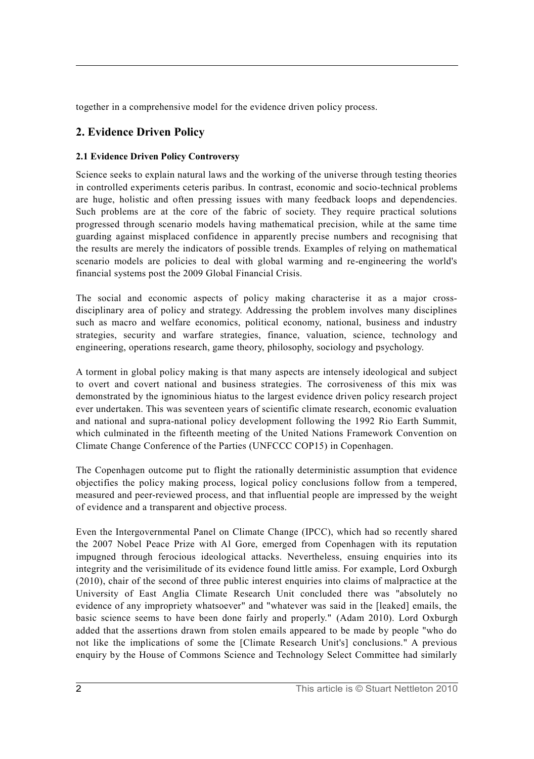together in a comprehensive model for the evidence driven policy process.

# **2. Evidence Driven Policy**

# **2.1 Evidence Driven Policy Controversy**

Science seeks to explain natural laws and the working of the universe through testing theories in controlled experiments ceteris paribus. In contrast, economic and socio-technical problems are huge, holistic and often pressing issues with many feedback loops and dependencies. Such problems are at the core of the fabric of society. They require practical solutions progressed through scenario models having mathematical precision, while at the same time guarding against misplaced confidence in apparently precise numbers and recognising that the results are merely the indicators of possible trends. Examples of relying on mathematical scenario models are policies to deal with global warming and re-engineering the world's financial systems post the 2009 Global Financial Crisis.

The social and economic aspects of policy making characterise it as a major crossdisciplinary area of policy and strategy. Addressing the problem involves many disciplines such as macro and welfare economics, political economy, national, business and industry strategies, security and warfare strategies, finance, valuation, science, technology and engineering, operations research, game theory, philosophy, sociology and psychology.

A torment in global policy making is that many aspects are intensely ideological and subject to overt and covert national and business strategies. The corrosiveness of this mix was demonstrated by the ignominious hiatus to the largest evidence driven policy research project ever undertaken. This was seventeen years of scientific climate research, economic evaluation and national and supra-national policy development following the 1992 Rio Earth Summit, which culminated in the fifteenth meeting of the United Nations Framework Convention on Climate Change Conference of the Parties (UNFCCC COP15) in Copenhagen.

The Copenhagen outcome put to flight the rationally deterministic assumption that evidence objectifies the policy making process, logical policy conclusions follow from a tempered, measured and peer-reviewed process, and that influential people are impressed by the weight of evidence and a transparent and objective process.

Even the Intergovernmental Panel on Climate Change (IPCC), which had so recently shared the 2007 Nobel Peace Prize with Al Gore, emerged from Copenhagen with its reputation impugned through ferocious ideological attacks. Nevertheless, ensuing enquiries into its integrity and the verisimilitude of its evidence found little amiss. For example, Lord Oxburgh (2010), chair of the second of three public interest enquiries into claims of malpractice at the University of East Anglia Climate Research Unit concluded there was "absolutely no evidence of any impropriety whatsoever" and "whatever was said in the [leaked] emails, the basic science seems to have been done fairly and properly." (Adam 2010). Lord Oxburgh added that the assertions drawn from stolen emails appeared to be made by people "who do not like the implications of some the [Climate Research Unit's] conclusions." A previous enquiry by the House of Commons Science and Technology Select Committee had similarly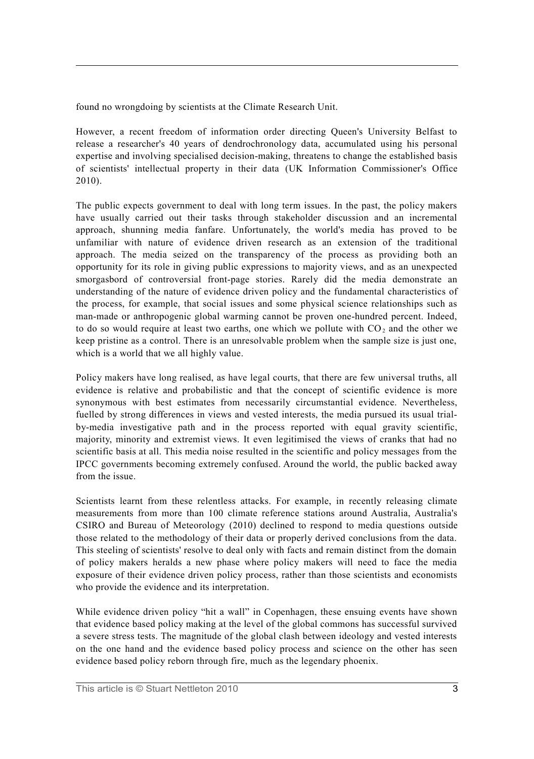found no wrongdoing by scientists at the Climate Research Unit.

However, a recent freedom of information order directing Queen's University Belfast to release a researcher's 40 years of dendrochronology data, accumulated using his personal expertise and involving specialised decision-making, threatens to change the established basis of scientists' intellectual property in their data (UK Information Commissioner's Office 2010).

The public expects government to deal with long term issues. In the past, the policy makers have usually carried out their tasks through stakeholder discussion and an incremental approach, shunning media fanfare. Unfortunately, the world's media has proved to be unfamiliar with nature of evidence driven research as an extension of the traditional approach. The media seized on the transparency of the process as providing both an opportunity for its role in giving public expressions to majority views, and as an unexpected smorgasbord of controversial front-page stories. Rarely did the media demonstrate an understanding of the nature of evidence driven policy and the fundamental characteristics of the process, for example, that social issues and some physical science relationships such as man-made or anthropogenic global warming cannot be proven one-hundred percent. Indeed, to do so would require at least two earths, one which we pollute with  $CO<sub>2</sub>$  and the other we keep pristine as a control. There is an unresolvable problem when the sample size is just one, which is a world that we all highly value.

Policy makers have long realised, as have legal courts, that there are few universal truths, all evidence is relative and probabilistic and that the concept of scientific evidence is more synonymous with best estimates from necessarily circumstantial evidence. Nevertheless, fuelled by strong differences in views and vested interests, the media pursued its usual trialby-media investigative path and in the process reported with equal gravity scientific, majority, minority and extremist views. It even legitimised the views of cranks that had no scientific basis at all. This media noise resulted in the scientific and policy messages from the IPCC governments becoming extremely confused. Around the world, the public backed away from the issue.

Scientists learnt from these relentless attacks. For example, in recently releasing climate measurements from more than 100 climate reference stations around Australia, Australia's CSIRO and Bureau of Meteorology (2010) declined to respond to media questions outside those related to the methodology of their data or properly derived conclusions from the data. This steeling of scientists' resolve to deal only with facts and remain distinct from the domain of policy makers heralds a new phase where policy makers will need to face the media exposure of their evidence driven policy process, rather than those scientists and economists who provide the evidence and its interpretation.

While evidence driven policy "hit a wall" in Copenhagen, these ensuing events have shown that evidence based policy making at the level of the global commons has successful survived a severe stress tests. The magnitude of the global clash between ideology and vested interests on the one hand and the evidence based policy process and science on the other has seen evidence based policy reborn through fire, much as the legendary phoenix.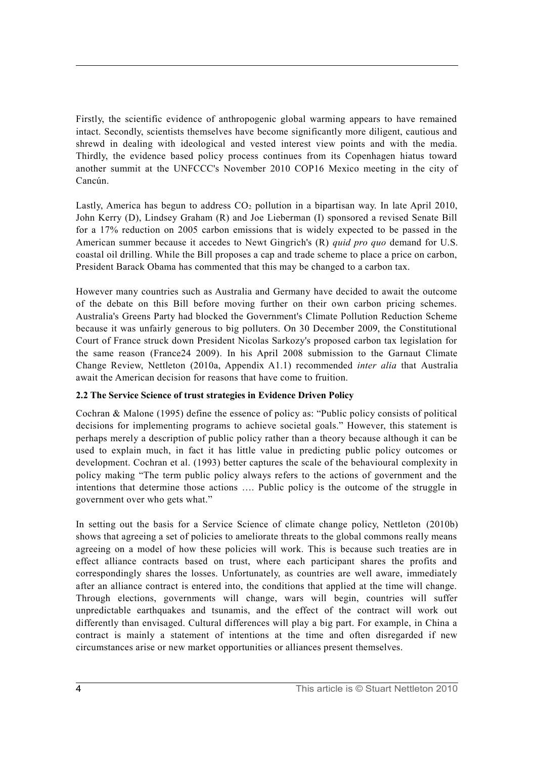Firstly, the scientific evidence of anthropogenic global warming appears to have remained intact. Secondly, scientists themselves have become significantly more diligent, cautious and shrewd in dealing with ideological and vested interest view points and with the media. Thirdly, the evidence based policy process continues from its Copenhagen hiatus toward another summit at the UNFCCC's November 2010 COP16 Mexico meeting in the city of Cancún.

Lastly, America has begun to address  $CO<sub>2</sub>$  pollution in a bipartisan way. In late April 2010, John Kerry (D), Lindsey Graham (R) and Joe Lieberman (I) sponsored a revised Senate Bill for a 17% reduction on 2005 carbon emissions that is widely expected to be passed in the American summer because it accedes to Newt Gingrich's (R) *quid pro quo* demand for U.S. coastal oil drilling. While the Bill proposes a cap and trade scheme to place a price on carbon, President Barack Obama has commented that this may be changed to a carbon tax.

However many countries such as Australia and Germany have decided to await the outcome of the debate on this Bill before moving further on their own carbon pricing schemes. Australia's Greens Party had blocked the Government's Climate Pollution Reduction Scheme because it was unfairly generous to big polluters. On 30 December 2009, the Constitutional Court of France struck down President Nicolas Sarkozy's proposed carbon tax legislation for the same reason (France24 2009). In his April 2008 submission to the Garnaut Climate Change Review, Nettleton (2010a, Appendix A1.1) recommended *inter alia* that Australia await the American decision for reasons that have come to fruition.

# **2.2 The Service Science of trust strategies in Evidence Driven Policy**

Cochran & Malone (1995) define the essence of policy as: "Public policy consists of political decisions for implementing programs to achieve societal goals." However, this statement is perhaps merely a description of public policy rather than a theory because although it can be used to explain much, in fact it has little value in predicting public policy outcomes or development. Cochran et al. (1993) better captures the scale of the behavioural complexity in policy making "The term public policy always refers to the actions of government and the intentions that determine those actions …. Public policy is the outcome of the struggle in government over who gets what."

In setting out the basis for a Service Science of climate change policy, Nettleton (2010b) shows that agreeing a set of policies to ameliorate threats to the global commons really means agreeing on a model of how these policies will work. This is because such treaties are in effect alliance contracts based on trust, where each participant shares the profits and correspondingly shares the losses. Unfortunately, as countries are well aware, immediately after an alliance contract is entered into, the conditions that applied at the time will change. Through elections, governments will change, wars will begin, countries will suffer unpredictable earthquakes and tsunamis, and the effect of the contract will work out differently than envisaged. Cultural differences will play a big part. For example, in China a contract is mainly a statement of intentions at the time and often disregarded if new circumstances arise or new market opportunities or alliances present themselves.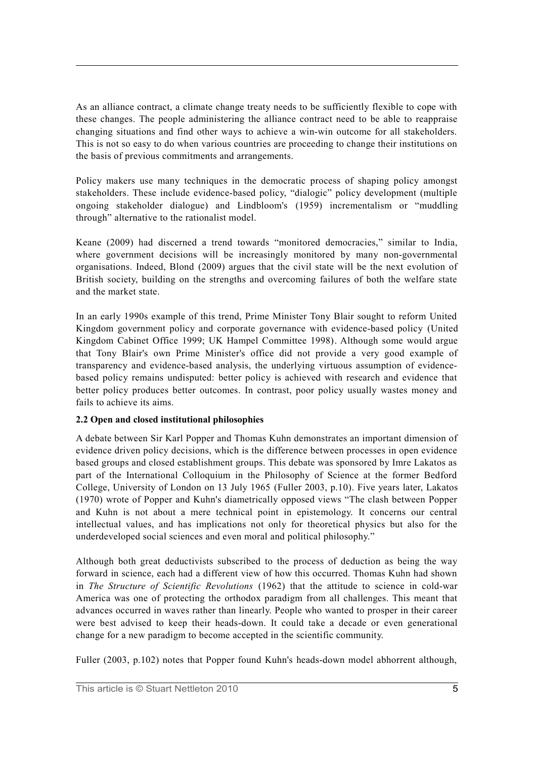As an alliance contract, a climate change treaty needs to be sufficiently flexible to cope with these changes. The people administering the alliance contract need to be able to reappraise changing situations and find other ways to achieve a win-win outcome for all stakeholders. This is not so easy to do when various countries are proceeding to change their institutions on the basis of previous commitments and arrangements.

Policy makers use many techniques in the democratic process of shaping policy amongst stakeholders. These include evidence-based policy, "dialogic" policy development (multiple ongoing stakeholder dialogue) and Lindbloom's (1959) incrementalism or "muddling through" alternative to the rationalist model.

Keane (2009) had discerned a trend towards "monitored democracies," similar to India, where government decisions will be increasingly monitored by many non-governmental organisations. Indeed, Blond (2009) argues that the civil state will be the next evolution of British society, building on the strengths and overcoming failures of both the welfare state and the market state.

In an early 1990s example of this trend, Prime Minister Tony Blair sought to reform United Kingdom government policy and corporate governance with evidence-based policy (United Kingdom Cabinet Office 1999; UK Hampel Committee 1998). Although some would argue that Tony Blair's own Prime Minister's office did not provide a very good example of transparency and evidence-based analysis, the underlying virtuous assumption of evidencebased policy remains undisputed: better policy is achieved with research and evidence that better policy produces better outcomes. In contrast, poor policy usually wastes money and fails to achieve its aims.

## **2.2 Open and closed institutional philosophies**

A debate between Sir Karl Popper and Thomas Kuhn demonstrates an important dimension of evidence driven policy decisions, which is the difference between processes in open evidence based groups and closed establishment groups. This debate was sponsored by Imre Lakatos as part of the International Colloquium in the Philosophy of Science at the former Bedford College, University of London on 13 July 1965 (Fuller 2003, p.10). Five years later, Lakatos (1970) wrote of Popper and Kuhn's diametrically opposed views "The clash between Popper and Kuhn is not about a mere technical point in epistemology. It concerns our central intellectual values, and has implications not only for theoretical physics but also for the underdeveloped social sciences and even moral and political philosophy."

Although both great deductivists subscribed to the process of deduction as being the way forward in science, each had a different view of how this occurred. Thomas Kuhn had shown in *The Structure of Scientific Revolutions* (1962) that the attitude to science in cold-war America was one of protecting the orthodox paradigm from all challenges. This meant that advances occurred in waves rather than linearly. People who wanted to prosper in their career were best advised to keep their heads-down. It could take a decade or even generational change for a new paradigm to become accepted in the scientific community.

Fuller (2003, p.102) notes that Popper found Kuhn's heads-down model abhorrent although,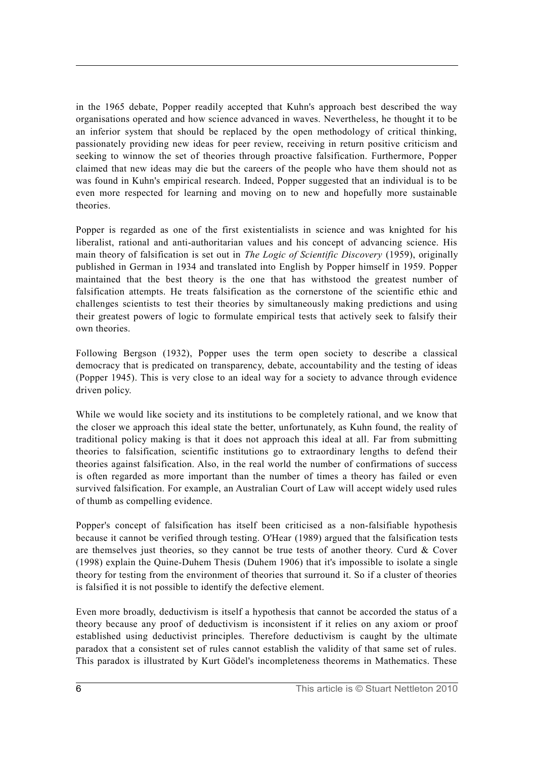in the 1965 debate, Popper readily accepted that Kuhn's approach best described the way organisations operated and how science advanced in waves. Nevertheless, he thought it to be an inferior system that should be replaced by the open methodology of critical thinking, passionately providing new ideas for peer review, receiving in return positive criticism and seeking to winnow the set of theories through proactive falsification. Furthermore, Popper claimed that new ideas may die but the careers of the people who have them should not as was found in Kuhn's empirical research. Indeed, Popper suggested that an individual is to be even more respected for learning and moving on to new and hopefully more sustainable theories.

Popper is regarded as one of the first existentialists in science and was knighted for his liberalist, rational and anti-authoritarian values and his concept of advancing science. His main theory of falsification is set out in *The Logic of Scientific Discovery* (1959), originally published in German in 1934 and translated into English by Popper himself in 1959. Popper maintained that the best theory is the one that has withstood the greatest number of falsification attempts. He treats falsification as the cornerstone of the scientific ethic and challenges scientists to test their theories by simultaneously making predictions and using their greatest powers of logic to formulate empirical tests that actively seek to falsify their own theories.

Following Bergson (1932), Popper uses the term open society to describe a classical democracy that is predicated on transparency, debate, accountability and the testing of ideas (Popper 1945). This is very close to an ideal way for a society to advance through evidence driven policy.

While we would like society and its institutions to be completely rational, and we know that the closer we approach this ideal state the better, unfortunately, as Kuhn found, the reality of traditional policy making is that it does not approach this ideal at all. Far from submitting theories to falsification, scientific institutions go to extraordinary lengths to defend their theories against falsification. Also, in the real world the number of confirmations of success is often regarded as more important than the number of times a theory has failed or even survived falsification. For example, an Australian Court of Law will accept widely used rules of thumb as compelling evidence.

Popper's concept of falsification has itself been criticised as a non-falsifiable hypothesis because it cannot be verified through testing. O'Hear (1989) argued that the falsification tests are themselves just theories, so they cannot be true tests of another theory. Curd  $\&$  Cover (1998) explain the Quine-Duhem Thesis (Duhem 1906) that it's impossible to isolate a single theory for testing from the environment of theories that surround it. So if a cluster of theories is falsified it is not possible to identify the defective element.

Even more broadly, deductivism is itself a hypothesis that cannot be accorded the status of a theory because any proof of deductivism is inconsistent if it relies on any axiom or proof established using deductivist principles. Therefore deductivism is caught by the ultimate paradox that a consistent set of rules cannot establish the validity of that same set of rules. This paradox is illustrated by Kurt Gödel's incompleteness theorems in Mathematics. These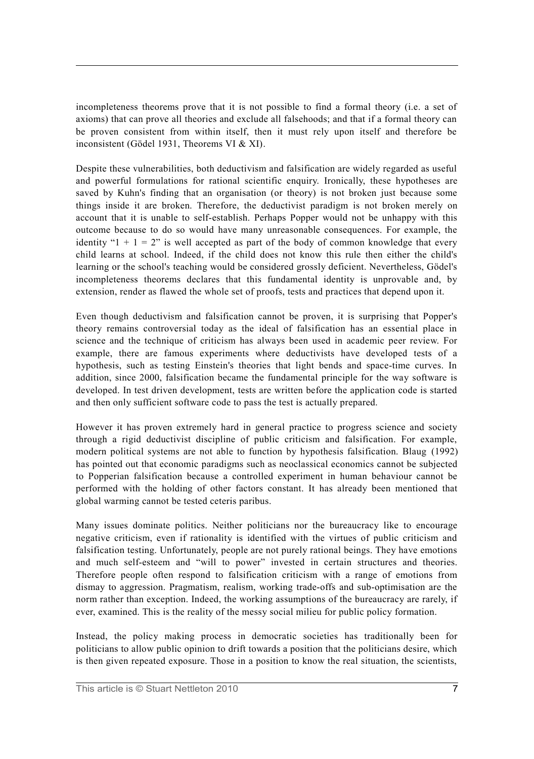incompleteness theorems prove that it is not possible to find a formal theory (i.e. a set of axioms) that can prove all theories and exclude all falsehoods; and that if a formal theory can be proven consistent from within itself, then it must rely upon itself and therefore be inconsistent (Gödel 1931, Theorems VI & XI).

Despite these vulnerabilities, both deductivism and falsification are widely regarded as useful and powerful formulations for rational scientific enquiry. Ironically, these hypotheses are saved by Kuhn's finding that an organisation (or theory) is not broken just because some things inside it are broken. Therefore, the deductivist paradigm is not broken merely on account that it is unable to self-establish. Perhaps Popper would not be unhappy with this outcome because to do so would have many unreasonable consequences. For example, the identity " $1 + 1 = 2$ " is well accepted as part of the body of common knowledge that every child learns at school. Indeed, if the child does not know this rule then either the child's learning or the school's teaching would be considered grossly deficient. Nevertheless, Gödel's incompleteness theorems declares that this fundamental identity is unprovable and, by extension, render as flawed the whole set of proofs, tests and practices that depend upon it.

Even though deductivism and falsification cannot be proven, it is surprising that Popper's theory remains controversial today as the ideal of falsification has an essential place in science and the technique of criticism has always been used in academic peer review. For example, there are famous experiments where deductivists have developed tests of a hypothesis, such as testing Einstein's theories that light bends and space-time curves. In addition, since 2000, falsification became the fundamental principle for the way software is developed. In test driven development, tests are written before the application code is started and then only sufficient software code to pass the test is actually prepared.

However it has proven extremely hard in general practice to progress science and society through a rigid deductivist discipline of public criticism and falsification. For example, modern political systems are not able to function by hypothesis falsification. Blaug (1992) has pointed out that economic paradigms such as neoclassical economics cannot be subjected to Popperian falsification because a controlled experiment in human behaviour cannot be performed with the holding of other factors constant. It has already been mentioned that global warming cannot be tested ceteris paribus.

Many issues dominate politics. Neither politicians nor the bureaucracy like to encourage negative criticism, even if rationality is identified with the virtues of public criticism and falsification testing. Unfortunately, people are not purely rational beings. They have emotions and much self-esteem and "will to power" invested in certain structures and theories. Therefore people often respond to falsification criticism with a range of emotions from dismay to aggression. Pragmatism, realism, working trade-offs and sub-optimisation are the norm rather than exception. Indeed, the working assumptions of the bureaucracy are rarely, if ever, examined. This is the reality of the messy social milieu for public policy formation.

Instead, the policy making process in democratic societies has traditionally been for politicians to allow public opinion to drift towards a position that the politicians desire, which is then given repeated exposure. Those in a position to know the real situation, the scientists,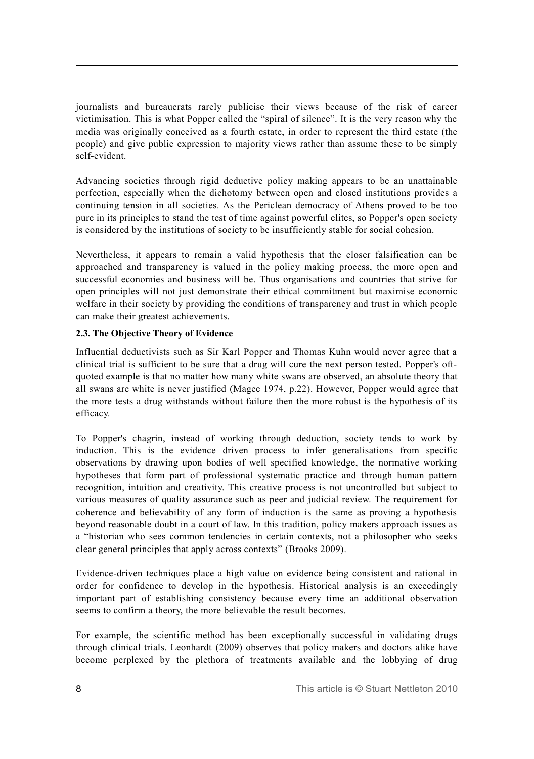journalists and bureaucrats rarely publicise their views because of the risk of career victimisation. This is what Popper called the "spiral of silence". It is the very reason why the media was originally conceived as a fourth estate, in order to represent the third estate (the people) and give public expression to majority views rather than assume these to be simply self-evident.

Advancing societies through rigid deductive policy making appears to be an unattainable perfection, especially when the dichotomy between open and closed institutions provides a continuing tension in all societies. As the Periclean democracy of Athens proved to be too pure in its principles to stand the test of time against powerful elites, so Popper's open society is considered by the institutions of society to be insufficiently stable for social cohesion.

Nevertheless, it appears to remain a valid hypothesis that the closer falsification can be approached and transparency is valued in the policy making process, the more open and successful economies and business will be. Thus organisations and countries that strive for open principles will not just demonstrate their ethical commitment but maximise economic welfare in their society by providing the conditions of transparency and trust in which people can make their greatest achievements.

# **2.3. The Objective Theory of Evidence**

Influential deductivists such as Sir Karl Popper and Thomas Kuhn would never agree that a clinical trial is sufficient to be sure that a drug will cure the next person tested. Popper's oftquoted example is that no matter how many white swans are observed, an absolute theory that all swans are white is never justified (Magee 1974, p.22). However, Popper would agree that the more tests a drug withstands without failure then the more robust is the hypothesis of its efficacy.

To Popper's chagrin, instead of working through deduction, society tends to work by induction. This is the evidence driven process to infer generalisations from specific observations by drawing upon bodies of well specified knowledge, the normative working hypotheses that form part of professional systematic practice and through human pattern recognition, intuition and creativity. This creative process is not uncontrolled but subject to various measures of quality assurance such as peer and judicial review. The requirement for coherence and believability of any form of induction is the same as proving a hypothesis beyond reasonable doubt in a court of law. In this tradition, policy makers approach issues as a "historian who sees common tendencies in certain contexts, not a philosopher who seeks clear general principles that apply across contexts" (Brooks 2009).

Evidence-driven techniques place a high value on evidence being consistent and rational in order for confidence to develop in the hypothesis. Historical analysis is an exceedingly important part of establishing consistency because every time an additional observation seems to confirm a theory, the more believable the result becomes.

For example, the scientific method has been exceptionally successful in validating drugs through clinical trials. Leonhardt (2009) observes that policy makers and doctors alike have become perplexed by the plethora of treatments available and the lobbying of drug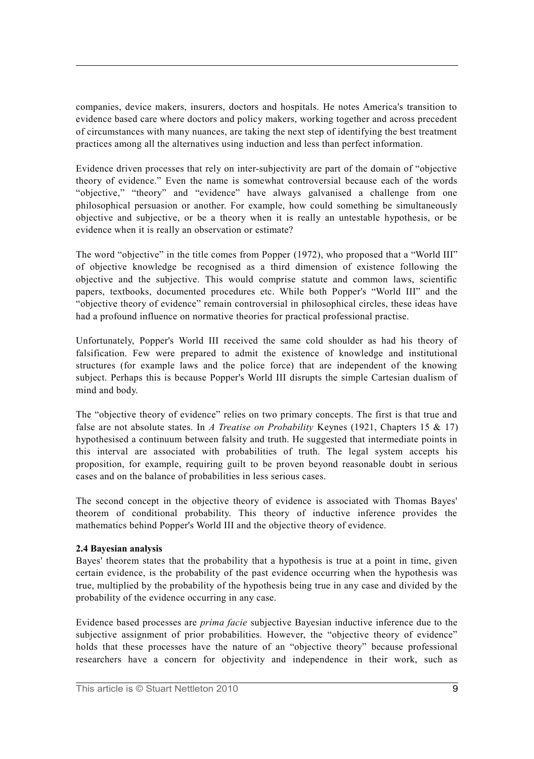companies, device makers, insurers, doctors and hospitals. He notes America's transition to evidence based care where doctors and policy makers, working together and across precedent of circumstances with many nuances, are taking the next step of identifying the best treatment practices among all the alternatives using induction and less than perfect information.

Evidence driven processes that rely on inter-subjectivity are part of the domain of "objective theory of evidence." Even the name is somewhat controversial because each of the words "objective," "theory" and "evidence" have always galvanised a challenge from one philosophical persuasion or another. For example, how could something be simultaneously objective and subjective, or be a theory when it is really an untestable hypothesis, or be evidence when it is really an observation or estimate?

The word "objective" in the title comes from Popper (1972), who proposed that a "World III" of objective knowledge be recognised as a third dimension of existence following the objective and the subjective. This would comprise statute and common laws, scientific papers, textbooks, documented procedures etc. While both Popper's "World III" and the "objective theory of evidence" remain controversial in philosophical circles, these ideas have had a profound influence on normative theories for practical professional practise.

Unfortunately, Popper's World III received the same cold shoulder as had his theory of falsification. Few were prepared to admit the existence of knowledge and institutional structures (for example laws and the police force) that are independent of the knowing subject. Perhaps this is because Popper's World III disrupts the simple Cartesian dualism of mind and body.

The "objective theory of evidence" relies on two primary concepts. The first is that true and false are not absolute states. In *A Treatise on Probability* Keynes (1921, Chapters 15 & 17) hypothesised a continuum between falsity and truth. He suggested that intermediate points in this interval are associated with probabilities of truth. The legal system accepts his proposition, for example, requiring guilt to be proven beyond reasonable doubt in serious cases and on the balance of probabilities in less serious cases.

The second concept in the objective theory of evidence is associated with Thomas Bayes' theorem of conditional probability. This theory of inductive inference provides the mathematics behind Popper's World III and the objective theory of evidence.

#### **2.4 Bayesian analysis**

Bayes' theorem states that the probability that a hypothesis is true at a point in time, given certain evidence, is the probability of the past evidence occurring when the hypothesis was true, multiplied by the probability of the hypothesis being true in any case and divided by the probability of the evidence occurring in any case.

Evidence based processes are *prima facie* subjective Bayesian inductive inference due to the subjective assignment of prior probabilities. However, the "objective theory of evidence" holds that these processes have the nature of an "objective theory" because professional researchers have a concern for objectivity and independence in their work, such as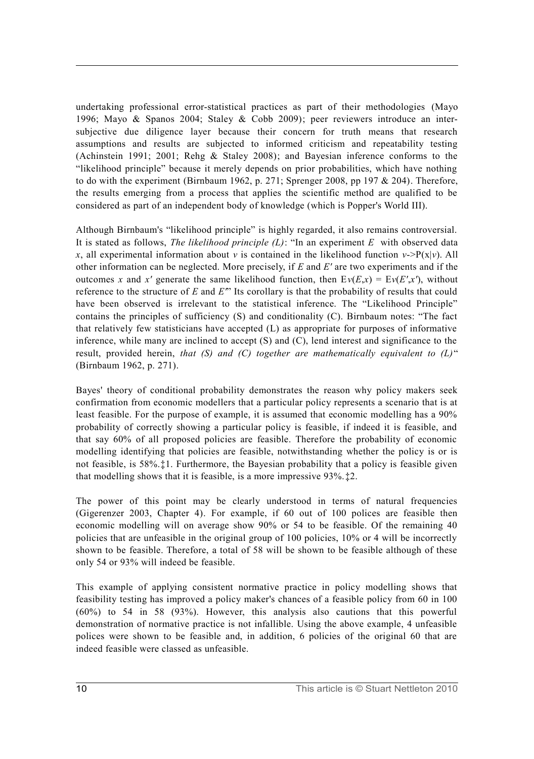undertaking professional error-statistical practices as part of their methodologies (Mayo 1996; Mayo & Spanos 2004; Staley & Cobb 2009); peer reviewers introduce an intersubjective due diligence layer because their concern for truth means that research assumptions and results are subjected to informed criticism and repeatability testing (Achinstein 1991; 2001; Rehg & Staley 2008); and Bayesian inference conforms to the "likelihood principle" because it merely depends on prior probabilities, which have nothing to do with the experiment (Birnbaum 1962, p. 271; Sprenger 2008, pp 197  $& 204$ ). Therefore, the results emerging from a process that applies the scientific method are qualified to be considered as part of an independent body of knowledge (which is Popper's World III).

Although Birnbaum's "likelihood principle" is highly regarded, it also remains controversial. It is stated as follows, *The likelihood principle (L)*: "In an experiment *E* with observed data *x*, all experimental information about *v* is contained in the likelihood function *v*->P(x|*v*). All other information can be neglected. More precisely, if *E* and *E'* are two experiments and if the outcomes *x* and *x'* generate the same likelihood function, then  $Ev(E,x) = Ev(E',x')$ , without reference to the structure of *E* and *E'*" Its corollary is that the probability of results that could have been observed is irrelevant to the statistical inference. The "Likelihood Principle" contains the principles of sufficiency (S) and conditionality (C). Birnbaum notes: "The fact that relatively few statisticians have accepted (L) as appropriate for purposes of informative inference, while many are inclined to accept (S) and (C), lend interest and significance to the result, provided herein, *that (S) and (C) together are mathematically equivalent to (L)*" (Birnbaum 1962, p. 271).

Bayes' theory of conditional probability demonstrates the reason why policy makers seek confirmation from economic modellers that a particular policy represents a scenario that is at least feasible. For the purpose of example, it is assumed that economic modelling has a 90% probability of correctly showing a particular policy is feasible, if indeed it is feasible, and that say 60% of all proposed policies are feasible. Therefore the probability of economic modelling identifying that policies are feasible, notwithstanding whether the policy is or is not feasible, is 58%.‡1. Furthermore, the Bayesian probability that a policy is feasible given that modelling shows that it is feasible, is a more impressive 93%.‡2.

The power of this point may be clearly understood in terms of natural frequencies (Gigerenzer 2003, Chapter 4). For example, if 60 out of 100 polices are feasible then economic modelling will on average show 90% or 54 to be feasible. Of the remaining 40 policies that are unfeasible in the original group of 100 policies, 10% or 4 will be incorrectly shown to be feasible. Therefore, a total of 58 will be shown to be feasible although of these only 54 or 93% will indeed be feasible.

This example of applying consistent normative practice in policy modelling shows that feasibility testing has improved a policy maker's chances of a feasible policy from 60 in 100 (60%) to 54 in 58 (93%). However, this analysis also cautions that this powerful demonstration of normative practice is not infallible. Using the above example, 4 unfeasible polices were shown to be feasible and, in addition, 6 policies of the original 60 that are indeed feasible were classed as unfeasible.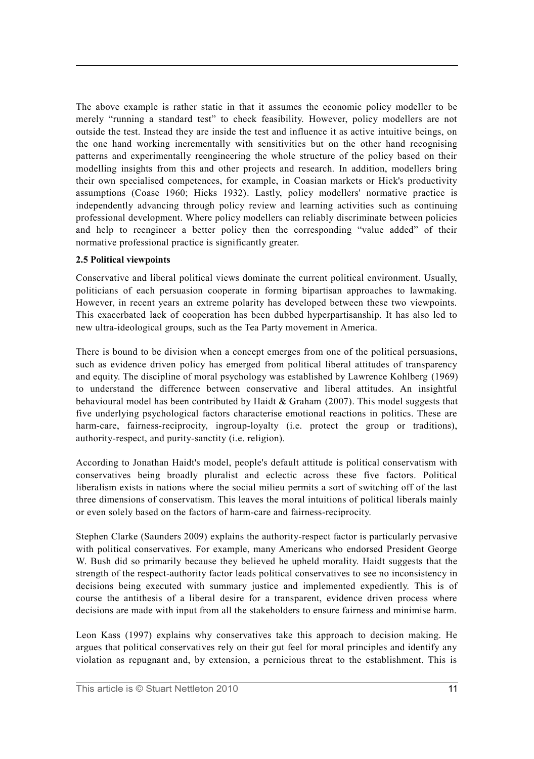The above example is rather static in that it assumes the economic policy modeller to be merely "running a standard test" to check feasibility. However, policy modellers are not outside the test. Instead they are inside the test and influence it as active intuitive beings, on the one hand working incrementally with sensitivities but on the other hand recognising patterns and experimentally reengineering the whole structure of the policy based on their modelling insights from this and other projects and research. In addition, modellers bring their own specialised competences, for example, in Coasian markets or Hick's productivity assumptions (Coase 1960; Hicks 1932). Lastly, policy modellers' normative practice is independently advancing through policy review and learning activities such as continuing professional development. Where policy modellers can reliably discriminate between policies and help to reengineer a better policy then the corresponding "value added" of their normative professional practice is significantly greater.

#### **2.5 Political viewpoints**

Conservative and liberal political views dominate the current political environment. Usually, politicians of each persuasion cooperate in forming bipartisan approaches to lawmaking. However, in recent years an extreme polarity has developed between these two viewpoints. This exacerbated lack of cooperation has been dubbed hyperpartisanship. It has also led to new ultra-ideological groups, such as the Tea Party movement in America.

There is bound to be division when a concept emerges from one of the political persuasions, such as evidence driven policy has emerged from political liberal attitudes of transparency and equity. The discipline of moral psychology was established by Lawrence Kohlberg (1969) to understand the difference between conservative and liberal attitudes. An insightful behavioural model has been contributed by Haidt & Graham (2007). This model suggests that five underlying psychological factors characterise emotional reactions in politics. These are harm-care, fairness-reciprocity, ingroup-loyalty (i.e. protect the group or traditions), authority-respect, and purity-sanctity (i.e. religion).

According to Jonathan Haidt's model, people's default attitude is political conservatism with conservatives being broadly pluralist and eclectic across these five factors. Political liberalism exists in nations where the social milieu permits a sort of switching off of the last three dimensions of conservatism. This leaves the moral intuitions of political liberals mainly or even solely based on the factors of harm-care and fairness-reciprocity.

Stephen Clarke (Saunders 2009) explains the authority-respect factor is particularly pervasive with political conservatives. For example, many Americans who endorsed President George W. Bush did so primarily because they believed he upheld morality. Haidt suggests that the strength of the respect-authority factor leads political conservatives to see no inconsistency in decisions being executed with summary justice and implemented expediently. This is of course the antithesis of a liberal desire for a transparent, evidence driven process where decisions are made with input from all the stakeholders to ensure fairness and minimise harm.

Leon Kass (1997) explains why conservatives take this approach to decision making. He argues that political conservatives rely on their gut feel for moral principles and identify any violation as repugnant and, by extension, a pernicious threat to the establishment. This is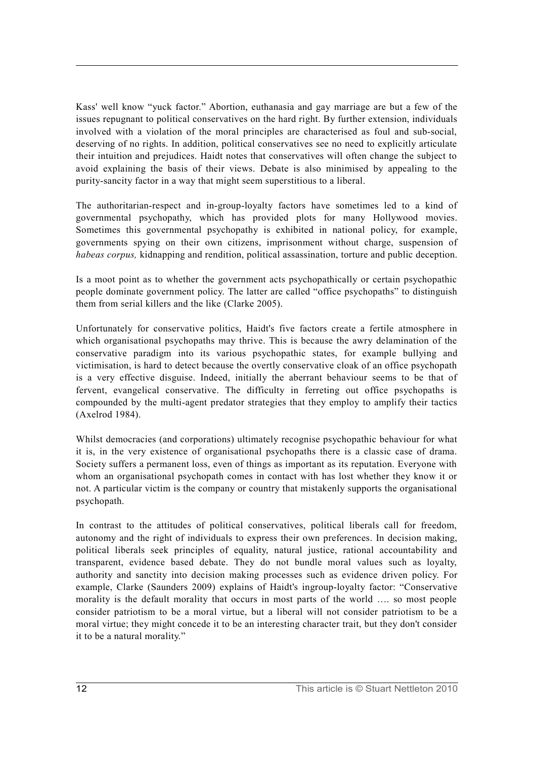Kass' well know "yuck factor." Abortion, euthanasia and gay marriage are but a few of the issues repugnant to political conservatives on the hard right. By further extension, individuals involved with a violation of the moral principles are characterised as foul and sub-social, deserving of no rights. In addition, political conservatives see no need to explicitly articulate their intuition and prejudices. Haidt notes that conservatives will often change the subject to avoid explaining the basis of their views. Debate is also minimised by appealing to the purity-sancity factor in a way that might seem superstitious to a liberal.

The authoritarian-respect and in-group-loyalty factors have sometimes led to a kind of governmental psychopathy, which has provided plots for many Hollywood movies. Sometimes this governmental psychopathy is exhibited in national policy, for example, governments spying on their own citizens, imprisonment without charge, suspension of *habeas corpus,* kidnapping and rendition, political assassination, torture and public deception.

Is a moot point as to whether the government acts psychopathically or certain psychopathic people dominate government policy. The latter are called "office psychopaths" to distinguish them from serial killers and the like (Clarke 2005).

Unfortunately for conservative politics, Haidt's five factors create a fertile atmosphere in which organisational psychopaths may thrive. This is because the awry delamination of the conservative paradigm into its various psychopathic states, for example bullying and victimisation, is hard to detect because the overtly conservative cloak of an office psychopath is a very effective disguise. Indeed, initially the aberrant behaviour seems to be that of fervent, evangelical conservative. The difficulty in ferreting out office psychopaths is compounded by the multi-agent predator strategies that they employ to amplify their tactics (Axelrod 1984).

Whilst democracies (and corporations) ultimately recognise psychopathic behaviour for what it is, in the very existence of organisational psychopaths there is a classic case of drama. Society suffers a permanent loss, even of things as important as its reputation. Everyone with whom an organisational psychopath comes in contact with has lost whether they know it or not. A particular victim is the company or country that mistakenly supports the organisational psychopath.

In contrast to the attitudes of political conservatives, political liberals call for freedom, autonomy and the right of individuals to express their own preferences. In decision making, political liberals seek principles of equality, natural justice, rational accountability and transparent, evidence based debate. They do not bundle moral values such as loyalty, authority and sanctity into decision making processes such as evidence driven policy. For example, Clarke (Saunders 2009) explains of Haidt's ingroup-loyalty factor: "Conservative morality is the default morality that occurs in most parts of the world …. so most people consider patriotism to be a moral virtue, but a liberal will not consider patriotism to be a moral virtue; they might concede it to be an interesting character trait, but they don't consider it to be a natural morality."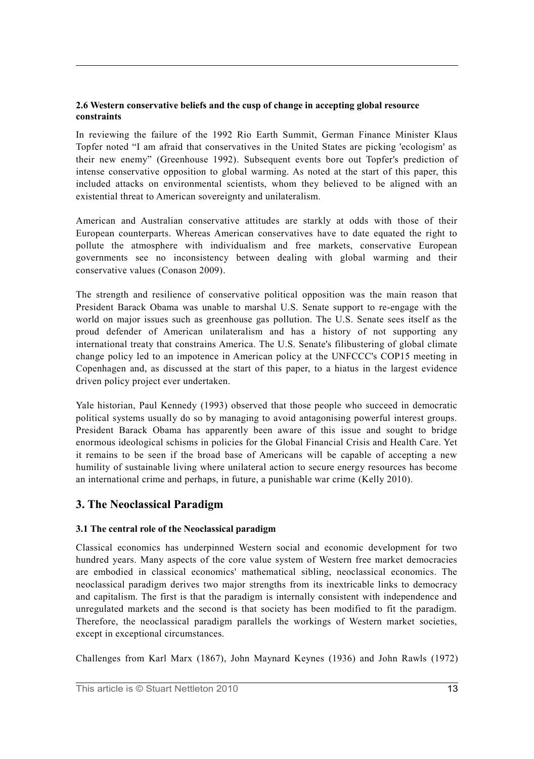#### **2.6 Western conservative beliefs and the cusp of change in accepting global resource constraints**

In reviewing the failure of the 1992 Rio Earth Summit, German Finance Minister Klaus Topfer noted "I am afraid that conservatives in the United States are picking 'ecologism' as their new enemy" (Greenhouse 1992). Subsequent events bore out Topfer's prediction of intense conservative opposition to global warming. As noted at the start of this paper, this included attacks on environmental scientists, whom they believed to be aligned with an existential threat to American sovereignty and unilateralism.

American and Australian conservative attitudes are starkly at odds with those of their European counterparts. Whereas American conservatives have to date equated the right to pollute the atmosphere with individualism and free markets, conservative European governments see no inconsistency between dealing with global warming and their conservative values (Conason 2009).

The strength and resilience of conservative political opposition was the main reason that President Barack Obama was unable to marshal U.S. Senate support to re-engage with the world on major issues such as greenhouse gas pollution. The U.S. Senate sees itself as the proud defender of American unilateralism and has a history of not supporting any international treaty that constrains America. The U.S. Senate's filibustering of global climate change policy led to an impotence in American policy at the UNFCCC's COP15 meeting in Copenhagen and, as discussed at the start of this paper, to a hiatus in the largest evidence driven policy project ever undertaken.

Yale historian, Paul Kennedy (1993) observed that those people who succeed in democratic political systems usually do so by managing to avoid antagonising powerful interest groups. President Barack Obama has apparently been aware of this issue and sought to bridge enormous ideological schisms in policies for the Global Financial Crisis and Health Care. Yet it remains to be seen if the broad base of Americans will be capable of accepting a new humility of sustainable living where unilateral action to secure energy resources has become an international crime and perhaps, in future, a punishable war crime (Kelly 2010).

# **3. The Neoclassical Paradigm**

# **3.1 The central role of the Neoclassical paradigm**

Classical economics has underpinned Western social and economic development for two hundred years. Many aspects of the core value system of Western free market democracies are embodied in classical economics' mathematical sibling, neoclassical economics. The neoclassical paradigm derives two major strengths from its inextricable links to democracy and capitalism. The first is that the paradigm is internally consistent with independence and unregulated markets and the second is that society has been modified to fit the paradigm. Therefore, the neoclassical paradigm parallels the workings of Western market societies, except in exceptional circumstances.

Challenges from Karl Marx (1867), John Maynard Keynes (1936) and John Rawls (1972)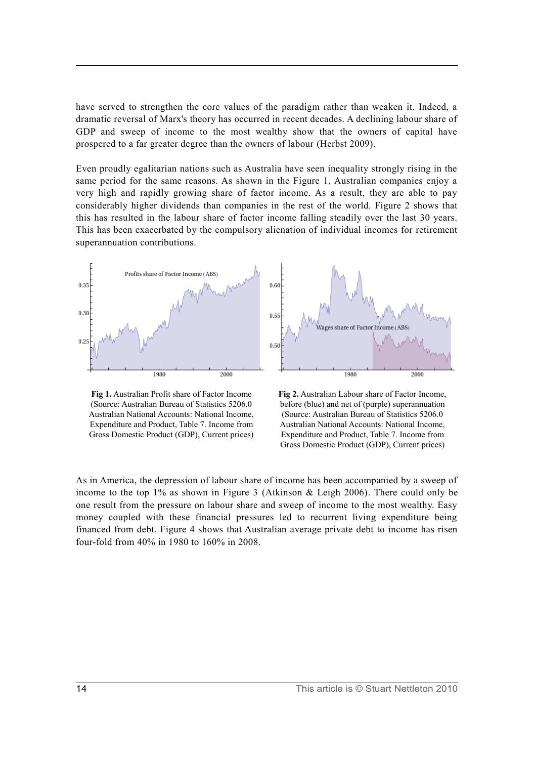have served to strengthen the core values of the paradigm rather than weaken it. Indeed, a dramatic reversal of Marx's theory has occurred in recent decades. A declining labour share of GDP and sweep of income to the most wealthy show that the owners of capital have prospered to a far greater degree than the owners of labour (Herbst 2009).

Even proudly egalitarian nations such as Australia have seen inequality strongly rising in the same period for the same reasons. As shown in the Figure 1, Australian companies enjoy a very high and rapidly growing share of factor income. As a result, they are able to pay considerably higher dividends than companies in the rest of the world. Figure 2 shows that this has resulted in the labour share of factor income falling steadily over the last 30 years. This has been exacerbated by the compulsory alienation of individual incomes for retirement superannuation contributions.



**Fig 1.** Australian Profit share of Factor Income (Source: Australian Bureau of Statistics 5206.0 Australian National Accounts: National Income, Expenditure and Product, Table 7. Income from Gross Domestic Product (GDP), Current prices)

**Fig 2.** Australian Labour share of Factor Income, before (blue) and net of (purple) superannuation (Source: Australian Bureau of Statistics 5206.0 Australian National Accounts: National Income, Expenditure and Product, Table 7. Income from Gross Domestic Product (GDP), Current prices)

As in America, the depression of labour share of income has been accompanied by a sweep of income to the top 1% as shown in Figure 3 (Atkinson & Leigh 2006). There could only be one result from the pressure on labour share and sweep of income to the most wealthy. Easy money coupled with these financial pressures led to recurrent living expenditure being financed from debt. Figure 4 shows that Australian average private debt to income has risen four-fold from 40% in 1980 to 160% in 2008.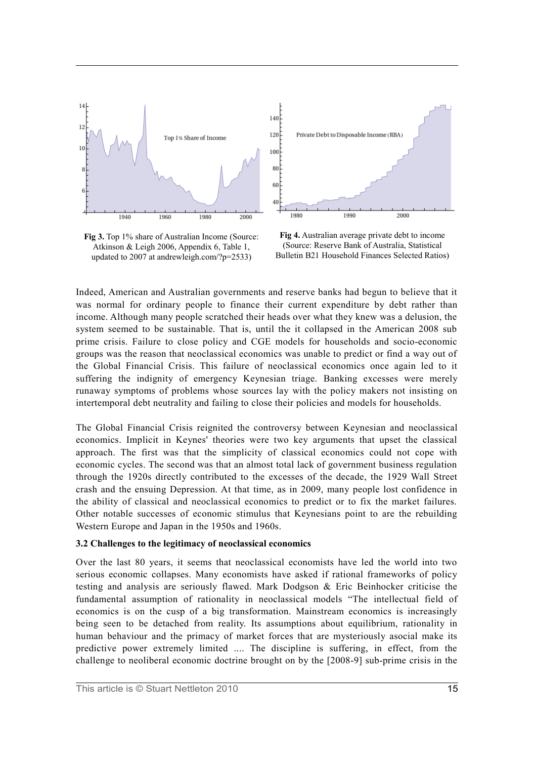

**Fig 3.** Top 1% share of Australian Income (Source: Atkinson & Leigh 2006, Appendix 6, Table 1, updated to 2007 at andrewleigh.com/?p=2533)

**Fig 4.** Australian average private debt to income (Source: Reserve Bank of Australia, Statistical Bulletin B21 Household Finances Selected Ratios)

Indeed, American and Australian governments and reserve banks had begun to believe that it was normal for ordinary people to finance their current expenditure by debt rather than income. Although many people scratched their heads over what they knew was a delusion, the system seemed to be sustainable. That is, until the it collapsed in the American 2008 sub prime crisis. Failure to close policy and CGE models for households and socio-economic groups was the reason that neoclassical economics was unable to predict or find a way out of the Global Financial Crisis. This failure of neoclassical economics once again led to it suffering the indignity of emergency Keynesian triage. Banking excesses were merely runaway symptoms of problems whose sources lay with the policy makers not insisting on intertemporal debt neutrality and failing to close their policies and models for households.

The Global Financial Crisis reignited the controversy between Keynesian and neoclassical economics. Implicit in Keynes' theories were two key arguments that upset the classical approach. The first was that the simplicity of classical economics could not cope with economic cycles. The second was that an almost total lack of government business regulation through the 1920s directly contributed to the excesses of the decade, the 1929 Wall Street crash and the ensuing Depression. At that time, as in 2009, many people lost confidence in the ability of classical and neoclassical economics to predict or to fix the market failures. Other notable successes of economic stimulus that Keynesians point to are the rebuilding Western Europe and Japan in the 1950s and 1960s.

#### **3.2 Challenges to the legitimacy of neoclassical economics**

Over the last 80 years, it seems that neoclassical economists have led the world into two serious economic collapses. Many economists have asked if rational frameworks of policy testing and analysis are seriously flawed. Mark Dodgson & Eric Beinhocker criticise the fundamental assumption of rationality in neoclassical models "The intellectual field of economics is on the cusp of a big transformation. Mainstream economics is increasingly being seen to be detached from reality. Its assumptions about equilibrium, rationality in human behaviour and the primacy of market forces that are mysteriously asocial make its predictive power extremely limited .... The discipline is suffering, in effect, from the challenge to neoliberal economic doctrine brought on by the [2008-9] sub-prime crisis in the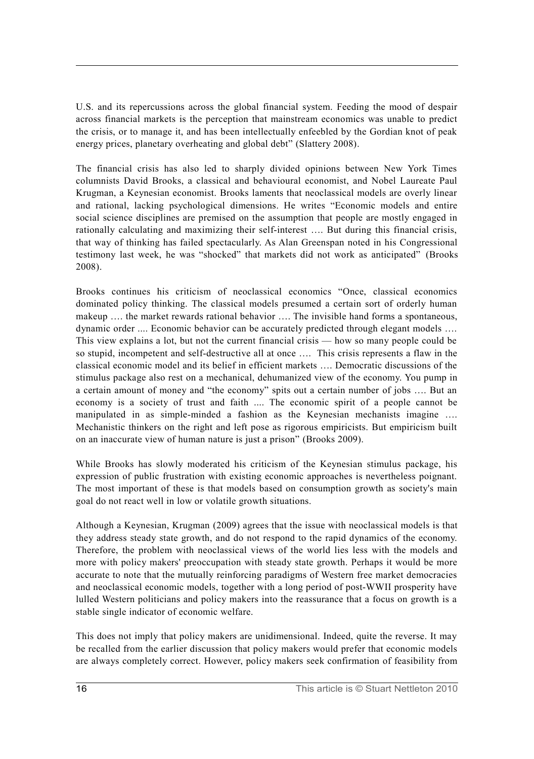U.S. and its repercussions across the global financial system. Feeding the mood of despair across financial markets is the perception that mainstream economics was unable to predict the crisis, or to manage it, and has been intellectually enfeebled by the Gordian knot of peak energy prices, planetary overheating and global debt" (Slattery 2008).

The financial crisis has also led to sharply divided opinions between New York Times columnists David Brooks, a classical and behavioural economist, and Nobel Laureate Paul Krugman, a Keynesian economist. Brooks laments that neoclassical models are overly linear and rational, lacking psychological dimensions. He writes "Economic models and entire social science disciplines are premised on the assumption that people are mostly engaged in rationally calculating and maximizing their self-interest …. But during this financial crisis, that way of thinking has failed spectacularly. As Alan Greenspan noted in his Congressional testimony last week, he was "shocked" that markets did not work as anticipated" (Brooks 2008).

Brooks continues his criticism of neoclassical economics "Once, classical economics dominated policy thinking. The classical models presumed a certain sort of orderly human makeup ..., the market rewards rational behavior ..., The invisible hand forms a spontaneous. dynamic order .... Economic behavior can be accurately predicted through elegant models …. This view explains a lot, but not the current financial crisis — how so many people could be so stupid, incompetent and self-destructive all at once …. This crisis represents a flaw in the classical economic model and its belief in efficient markets …. Democratic discussions of the stimulus package also rest on a mechanical, dehumanized view of the economy. You pump in a certain amount of money and "the economy" spits out a certain number of jobs …. But an economy is a society of trust and faith .... The economic spirit of a people cannot be manipulated in as simple-minded a fashion as the Keynesian mechanists imagine …. Mechanistic thinkers on the right and left pose as rigorous empiricists. But empiricism built on an inaccurate view of human nature is just a prison" (Brooks 2009).

While Brooks has slowly moderated his criticism of the Keynesian stimulus package, his expression of public frustration with existing economic approaches is nevertheless poignant. The most important of these is that models based on consumption growth as society's main goal do not react well in low or volatile growth situations.

Although a Keynesian, Krugman (2009) agrees that the issue with neoclassical models is that they address steady state growth, and do not respond to the rapid dynamics of the economy. Therefore, the problem with neoclassical views of the world lies less with the models and more with policy makers' preoccupation with steady state growth. Perhaps it would be more accurate to note that the mutually reinforcing paradigms of Western free market democracies and neoclassical economic models, together with a long period of post-WWII prosperity have lulled Western politicians and policy makers into the reassurance that a focus on growth is a stable single indicator of economic welfare.

This does not imply that policy makers are unidimensional. Indeed, quite the reverse. It may be recalled from the earlier discussion that policy makers would prefer that economic models are always completely correct. However, policy makers seek confirmation of feasibility from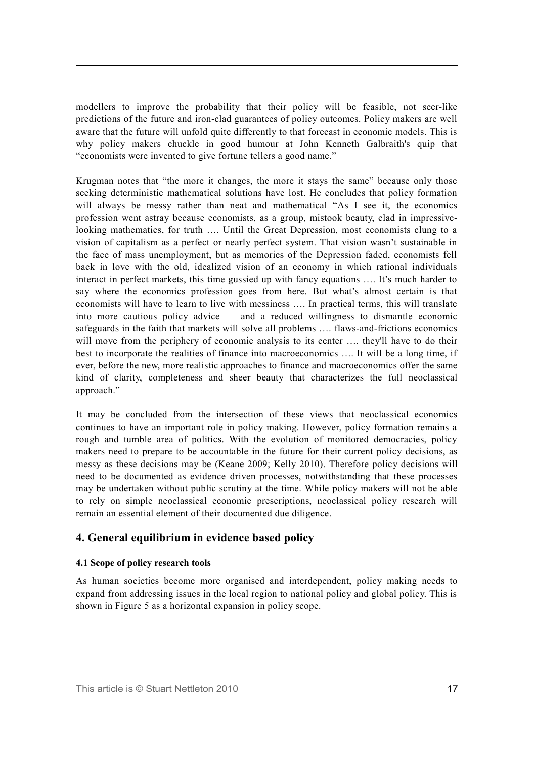modellers to improve the probability that their policy will be feasible, not seer-like predictions of the future and iron-clad guarantees of policy outcomes. Policy makers are well aware that the future will unfold quite differently to that forecast in economic models. This is why policy makers chuckle in good humour at John Kenneth Galbraith's quip that "economists were invented to give fortune tellers a good name."

Krugman notes that "the more it changes, the more it stays the same" because only those seeking deterministic mathematical solutions have lost. He concludes that policy formation will always be messy rather than neat and mathematical "As I see it, the economics profession went astray because economists, as a group, mistook beauty, clad in impressivelooking mathematics, for truth …. Until the Great Depression, most economists clung to a vision of capitalism as a perfect or nearly perfect system. That vision wasn't sustainable in the face of mass unemployment, but as memories of the Depression faded, economists fell back in love with the old, idealized vision of an economy in which rational individuals interact in perfect markets, this time gussied up with fancy equations …. It's much harder to say where the economics profession goes from here. But what's almost certain is that economists will have to learn to live with messiness …. In practical terms, this will translate into more cautious policy advice — and a reduced willingness to dismantle economic safeguards in the faith that markets will solve all problems …. flaws-and-frictions economics will move from the periphery of economic analysis to its center .... they'll have to do their best to incorporate the realities of finance into macroeconomics …. It will be a long time, if ever, before the new, more realistic approaches to finance and macroeconomics offer the same kind of clarity, completeness and sheer beauty that characterizes the full neoclassical approach."

It may be concluded from the intersection of these views that neoclassical economics continues to have an important role in policy making. However, policy formation remains a rough and tumble area of politics. With the evolution of monitored democracies, policy makers need to prepare to be accountable in the future for their current policy decisions, as messy as these decisions may be (Keane 2009; Kelly 2010). Therefore policy decisions will need to be documented as evidence driven processes, notwithstanding that these processes may be undertaken without public scrutiny at the time. While policy makers will not be able to rely on simple neoclassical economic prescriptions, neoclassical policy research will remain an essential element of their documented due diligence.

# **4. General equilibrium in evidence based policy**

## **4.1 Scope of policy research tools**

As human societies become more organised and interdependent, policy making needs to expand from addressing issues in the local region to national policy and global policy. This is shown in Figure 5 as a horizontal expansion in policy scope.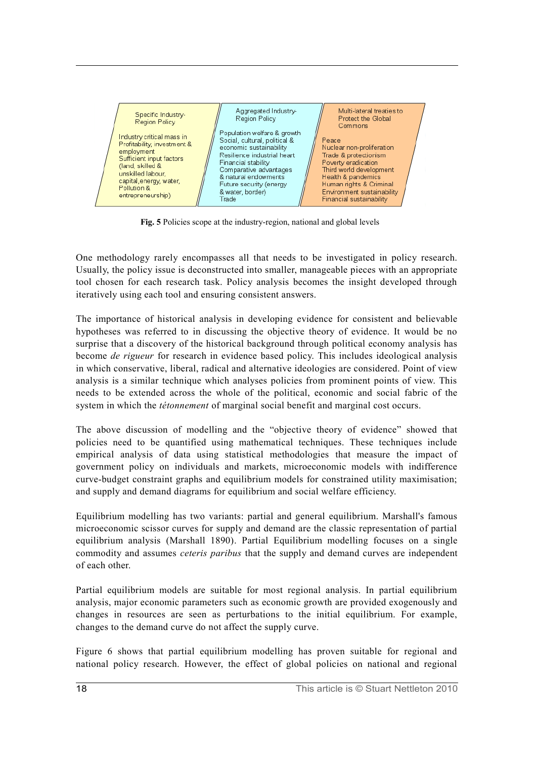

Fig. 5 Policies scope at the industry-region, national and global levels

One methodology rarely encompasses all that needs to be investigated in policy research. Usually, the policy issue is deconstructed into smaller, manageable pieces with an appropriate tool chosen for each research task. Policy analysis becomes the insight developed through iteratively using each tool and ensuring consistent answers.

The importance of historical analysis in developing evidence for consistent and believable hypotheses was referred to in discussing the objective theory of evidence. It would be no surprise that a discovery of the historical background through political economy analysis has become *de rigueur* for research in evidence based policy. This includes ideological analysis in which conservative, liberal, radical and alternative ideologies are considered. Point of view analysis is a similar technique which analyses policies from prominent points of view. This needs to be extended across the whole of the political, economic and social fabric of the system in which the *tétonnement* of marginal social benefit and marginal cost occurs.

The above discussion of modelling and the "objective theory of evidence" showed that policies need to be quantified using mathematical techniques. These techniques include empirical analysis of data using statistical methodologies that measure the impact of government policy on individuals and markets, microeconomic models with indifference curve-budget constraint graphs and equilibrium models for constrained utility maximisation; and supply and demand diagrams for equilibrium and social welfare efficiency.

Equilibrium modelling has two variants: partial and general equilibrium. Marshall's famous microeconomic scissor curves for supply and demand are the classic representation of partial equilibrium analysis (Marshall 1890). Partial Equilibrium modelling focuses on a single commodity and assumes *ceteris paribus* that the supply and demand curves are independent of each other.

Partial equilibrium models are suitable for most regional analysis. In partial equilibrium analysis, major economic parameters such as economic growth are provided exogenously and changes in resources are seen as perturbations to the initial equilibrium. For example, changes to the demand curve do not affect the supply curve.

Figure 6 shows that partial equilibrium modelling has proven suitable for regional and national policy research. However, the effect of global policies on national and regional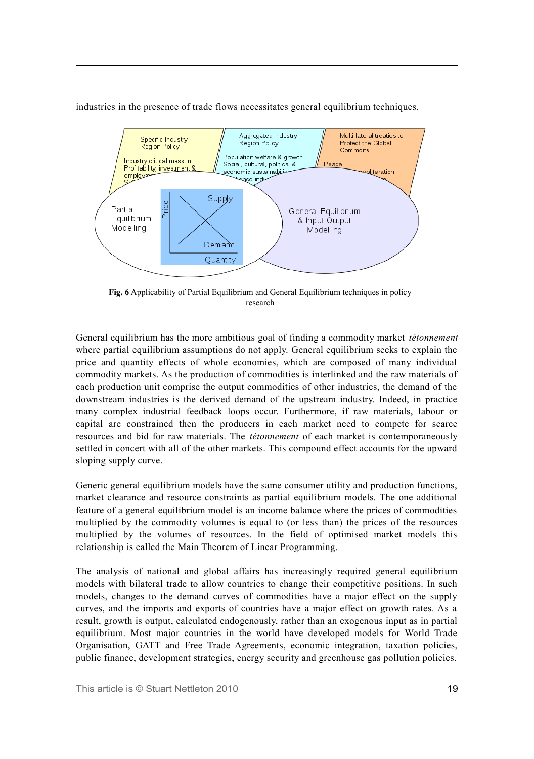

industries in the presence of trade flows necessitates general equilibrium techniques.

**Fig. 6** Applicability of Partial Equilibrium and General Equilibrium techniques in policy research

General equilibrium has the more ambitious goal of finding a commodity market *tétonnement* where partial equilibrium assumptions do not apply. General equilibrium seeks to explain the price and quantity effects of whole economies, which are composed of many individual commodity markets. As the production of commodities is interlinked and the raw materials of each production unit comprise the output commodities of other industries, the demand of the downstream industries is the derived demand of the upstream industry. Indeed, in practice many complex industrial feedback loops occur. Furthermore, if raw materials, labour or capital are constrained then the producers in each market need to compete for scarce resources and bid for raw materials. The *tétonnement* of each market is contemporaneously settled in concert with all of the other markets. This compound effect accounts for the upward sloping supply curve.

Generic general equilibrium models have the same consumer utility and production functions, market clearance and resource constraints as partial equilibrium models. The one additional feature of a general equilibrium model is an income balance where the prices of commodities multiplied by the commodity volumes is equal to (or less than) the prices of the resources multiplied by the volumes of resources. In the field of optimised market models this relationship is called the Main Theorem of Linear Programming.

The analysis of national and global affairs has increasingly required general equilibrium models with bilateral trade to allow countries to change their competitive positions. In such models, changes to the demand curves of commodities have a major effect on the supply curves, and the imports and exports of countries have a major effect on growth rates. As a result, growth is output, calculated endogenously, rather than an exogenous input as in partial equilibrium. Most major countries in the world have developed models for World Trade Organisation, GATT and Free Trade Agreements, economic integration, taxation policies, public finance, development strategies, energy security and greenhouse gas pollution policies.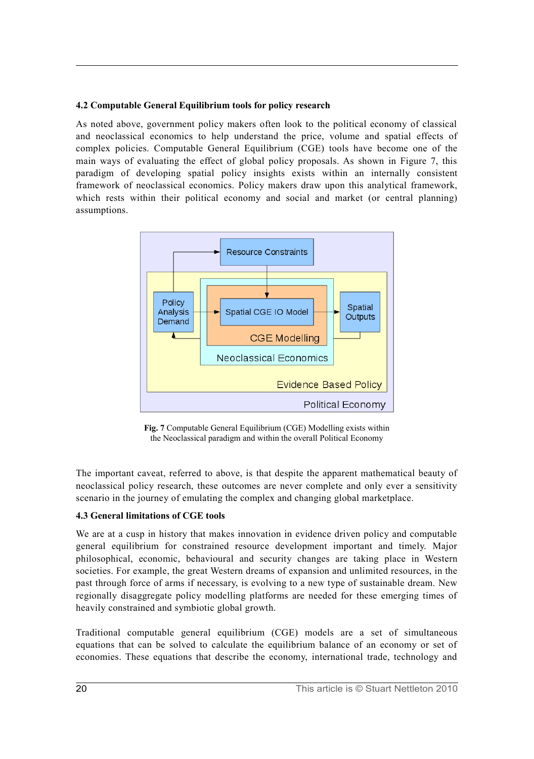## **4.2 Computable General Equilibrium tools for policy research**

As noted above, government policy makers often look to the political economy of classical and neoclassical economics to help understand the price, volume and spatial effects of complex policies. Computable General Equilibrium (CGE) tools have become one of the main ways of evaluating the effect of global policy proposals. As shown in Figure 7, this paradigm of developing spatial policy insights exists within an internally consistent framework of neoclassical economics. Policy makers draw upon this analytical framework, which rests within their political economy and social and market (or central planning) assumptions.



**Fig. 7** Computable General Equilibrium (CGE) Modelling exists within the Neoclassical paradigm and within the overall Political Economy

The important caveat, referred to above, is that despite the apparent mathematical beauty of neoclassical policy research, these outcomes are never complete and only ever a sensitivity scenario in the journey of emulating the complex and changing global marketplace.

# **4.3 General limitations of CGE tools**

We are at a cusp in history that makes innovation in evidence driven policy and computable general equilibrium for constrained resource development important and timely. Major philosophical, economic, behavioural and security changes are taking place in Western societies. For example, the great Western dreams of expansion and unlimited resources, in the past through force of arms if necessary, is evolving to a new type of sustainable dream. New regionally disaggregate policy modelling platforms are needed for these emerging times of heavily constrained and symbiotic global growth.

Traditional computable general equilibrium (CGE) models are a set of simultaneous equations that can be solved to calculate the equilibrium balance of an economy or set of economies. These equations that describe the economy, international trade, technology and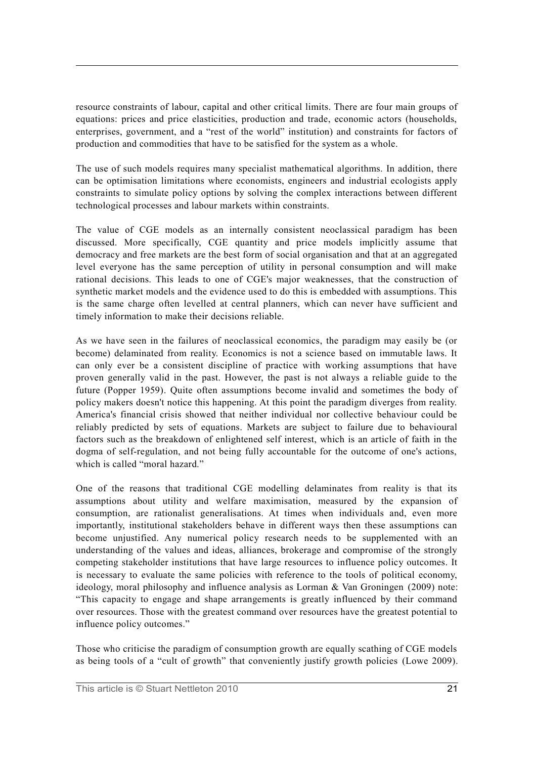resource constraints of labour, capital and other critical limits. There are four main groups of equations: prices and price elasticities, production and trade, economic actors (households, enterprises, government, and a "rest of the world" institution) and constraints for factors of production and commodities that have to be satisfied for the system as a whole.

The use of such models requires many specialist mathematical algorithms. In addition, there can be optimisation limitations where economists, engineers and industrial ecologists apply constraints to simulate policy options by solving the complex interactions between different technological processes and labour markets within constraints.

The value of CGE models as an internally consistent neoclassical paradigm has been discussed. More specifically, CGE quantity and price models implicitly assume that democracy and free markets are the best form of social organisation and that at an aggregated level everyone has the same perception of utility in personal consumption and will make rational decisions. This leads to one of CGE's major weaknesses, that the construction of synthetic market models and the evidence used to do this is embedded with assumptions. This is the same charge often levelled at central planners, which can never have sufficient and timely information to make their decisions reliable.

As we have seen in the failures of neoclassical economics, the paradigm may easily be (or become) delaminated from reality. Economics is not a science based on immutable laws. It can only ever be a consistent discipline of practice with working assumptions that have proven generally valid in the past. However, the past is not always a reliable guide to the future (Popper 1959). Quite often assumptions become invalid and sometimes the body of policy makers doesn't notice this happening. At this point the paradigm diverges from reality. America's financial crisis showed that neither individual nor collective behaviour could be reliably predicted by sets of equations. Markets are subject to failure due to behavioural factors such as the breakdown of enlightened self interest, which is an article of faith in the dogma of self-regulation, and not being fully accountable for the outcome of one's actions, which is called "moral hazard."

One of the reasons that traditional CGE modelling delaminates from reality is that its assumptions about utility and welfare maximisation, measured by the expansion of consumption, are rationalist generalisations. At times when individuals and, even more importantly, institutional stakeholders behave in different ways then these assumptions can become unjustified. Any numerical policy research needs to be supplemented with an understanding of the values and ideas, alliances, brokerage and compromise of the strongly competing stakeholder institutions that have large resources to influence policy outcomes. It is necessary to evaluate the same policies with reference to the tools of political economy, ideology, moral philosophy and influence analysis as Lorman & Van Groningen (2009) note: "This capacity to engage and shape arrangements is greatly influenced by their command over resources. Those with the greatest command over resources have the greatest potential to influence policy outcomes."

Those who criticise the paradigm of consumption growth are equally scathing of CGE models as being tools of a "cult of growth" that conveniently justify growth policies (Lowe 2009).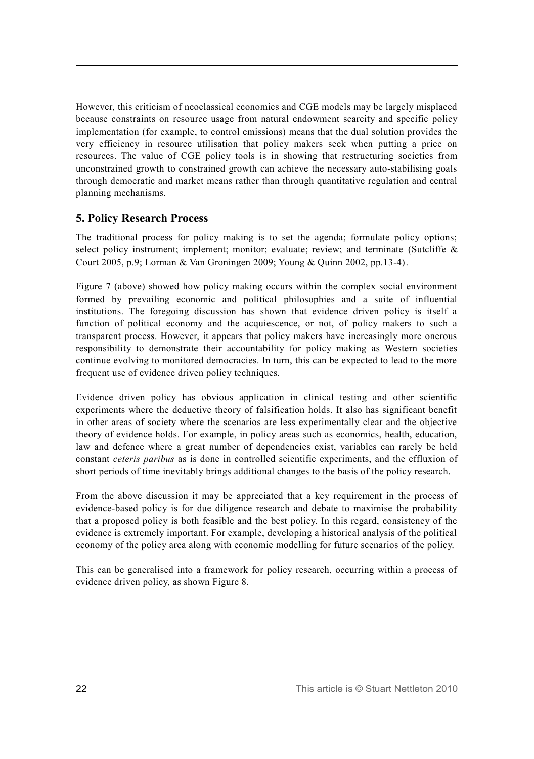However, this criticism of neoclassical economics and CGE models may be largely misplaced because constraints on resource usage from natural endowment scarcity and specific policy implementation (for example, to control emissions) means that the dual solution provides the very efficiency in resource utilisation that policy makers seek when putting a price on resources. The value of CGE policy tools is in showing that restructuring societies from unconstrained growth to constrained growth can achieve the necessary auto-stabilising goals through democratic and market means rather than through quantitative regulation and central planning mechanisms.

# **5. Policy Research Process**

The traditional process for policy making is to set the agenda; formulate policy options; select policy instrument; implement; monitor; evaluate; review; and terminate (Sutcliffe & Court 2005, p.9; Lorman & Van Groningen 2009; Young & Quinn 2002, pp.13-4).

Figure 7 (above) showed how policy making occurs within the complex social environment formed by prevailing economic and political philosophies and a suite of influential institutions. The foregoing discussion has shown that evidence driven policy is itself a function of political economy and the acquiescence, or not, of policy makers to such a transparent process. However, it appears that policy makers have increasingly more onerous responsibility to demonstrate their accountability for policy making as Western societies continue evolving to monitored democracies. In turn, this can be expected to lead to the more frequent use of evidence driven policy techniques.

Evidence driven policy has obvious application in clinical testing and other scientific experiments where the deductive theory of falsification holds. It also has significant benefit in other areas of society where the scenarios are less experimentally clear and the objective theory of evidence holds. For example, in policy areas such as economics, health, education, law and defence where a great number of dependencies exist, variables can rarely be held constant *ceteris paribus* as is done in controlled scientific experiments, and the effluxion of short periods of time inevitably brings additional changes to the basis of the policy research.

From the above discussion it may be appreciated that a key requirement in the process of evidence-based policy is for due diligence research and debate to maximise the probability that a proposed policy is both feasible and the best policy. In this regard, consistency of the evidence is extremely important. For example, developing a historical analysis of the political economy of the policy area along with economic modelling for future scenarios of the policy.

This can be generalised into a framework for policy research, occurring within a process of evidence driven policy, as shown Figure 8.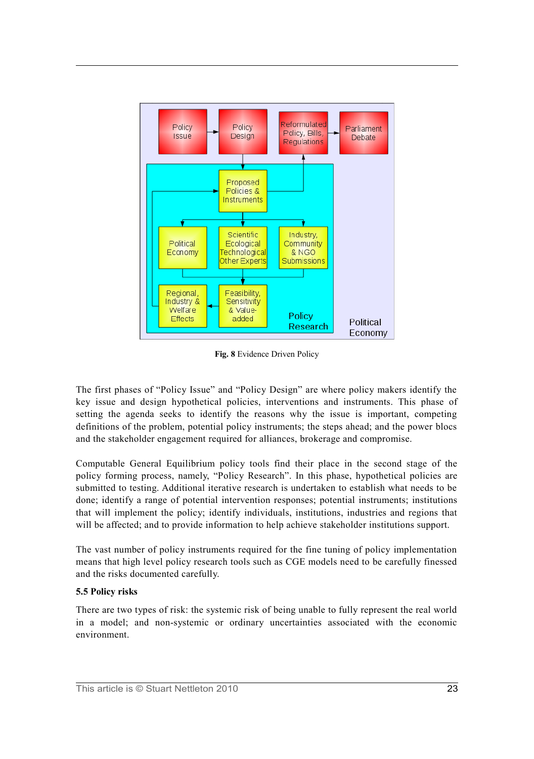

**Fig. 8** Evidence Driven Policy

The first phases of "Policy Issue" and "Policy Design" are where policy makers identify the key issue and design hypothetical policies, interventions and instruments. This phase of setting the agenda seeks to identify the reasons why the issue is important, competing definitions of the problem, potential policy instruments; the steps ahead; and the power blocs and the stakeholder engagement required for alliances, brokerage and compromise.

Computable General Equilibrium policy tools find their place in the second stage of the policy forming process, namely, "Policy Research". In this phase, hypothetical policies are submitted to testing. Additional iterative research is undertaken to establish what needs to be done; identify a range of potential intervention responses; potential instruments; institutions that will implement the policy; identify individuals, institutions, industries and regions that will be affected; and to provide information to help achieve stakeholder institutions support.

The vast number of policy instruments required for the fine tuning of policy implementation means that high level policy research tools such as CGE models need to be carefully finessed and the risks documented carefully.

#### **5.5 Policy risks**

There are two types of risk: the systemic risk of being unable to fully represent the real world in a model; and non-systemic or ordinary uncertainties associated with the economic environment.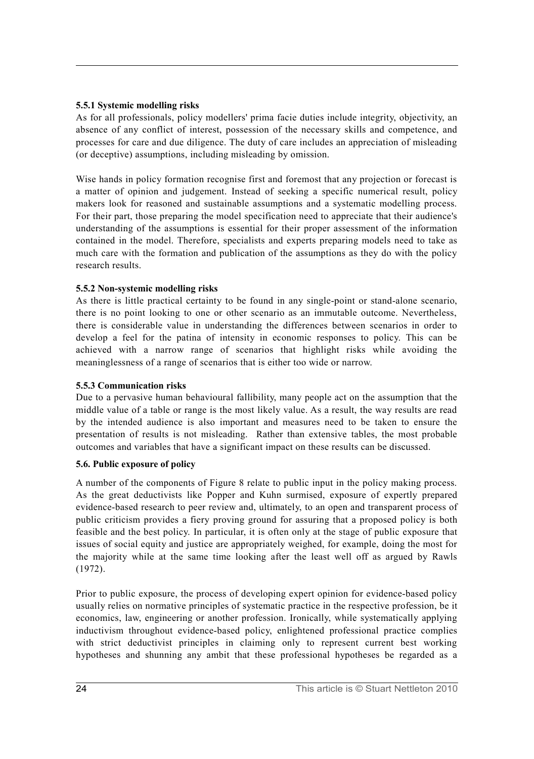#### **5.5.1 Systemic modelling risks**

As for all professionals, policy modellers' prima facie duties include integrity, objectivity, an absence of any conflict of interest, possession of the necessary skills and competence, and processes for care and due diligence. The duty of care includes an appreciation of misleading (or deceptive) assumptions, including misleading by omission.

Wise hands in policy formation recognise first and foremost that any projection or forecast is a matter of opinion and judgement. Instead of seeking a specific numerical result, policy makers look for reasoned and sustainable assumptions and a systematic modelling process. For their part, those preparing the model specification need to appreciate that their audience's understanding of the assumptions is essential for their proper assessment of the information contained in the model. Therefore, specialists and experts preparing models need to take as much care with the formation and publication of the assumptions as they do with the policy research results.

## **5.5.2 Non-systemic modelling risks**

As there is little practical certainty to be found in any single-point or stand-alone scenario, there is no point looking to one or other scenario as an immutable outcome. Nevertheless, there is considerable value in understanding the differences between scenarios in order to develop a feel for the patina of intensity in economic responses to policy. This can be achieved with a narrow range of scenarios that highlight risks while avoiding the meaninglessness of a range of scenarios that is either too wide or narrow.

#### **5.5.3 Communication risks**

Due to a pervasive human behavioural fallibility, many people act on the assumption that the middle value of a table or range is the most likely value. As a result, the way results are read by the intended audience is also important and measures need to be taken to ensure the presentation of results is not misleading. Rather than extensive tables, the most probable outcomes and variables that have a significant impact on these results can be discussed.

## **5.6. Public exposure of policy**

A number of the components of Figure 8 relate to public input in the policy making process. As the great deductivists like Popper and Kuhn surmised, exposure of expertly prepared evidence-based research to peer review and, ultimately, to an open and transparent process of public criticism provides a fiery proving ground for assuring that a proposed policy is both feasible and the best policy. In particular, it is often only at the stage of public exposure that issues of social equity and justice are appropriately weighed, for example, doing the most for the majority while at the same time looking after the least well off as argued by Rawls (1972).

Prior to public exposure, the process of developing expert opinion for evidence-based policy usually relies on normative principles of systematic practice in the respective profession, be it economics, law, engineering or another profession. Ironically, while systematically applying inductivism throughout evidence-based policy, enlightened professional practice complies with strict deductivist principles in claiming only to represent current best working hypotheses and shunning any ambit that these professional hypotheses be regarded as a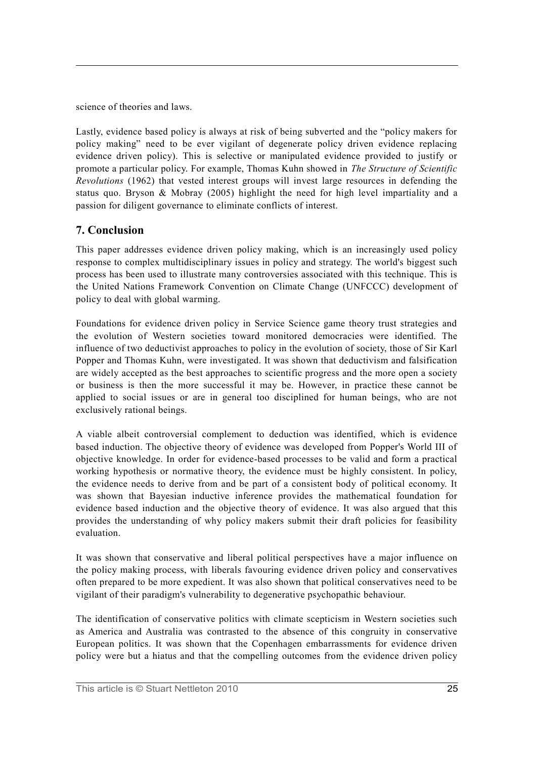science of theories and laws.

Lastly, evidence based policy is always at risk of being subverted and the "policy makers for policy making" need to be ever vigilant of degenerate policy driven evidence replacing evidence driven policy). This is selective or manipulated evidence provided to justify or promote a particular policy. For example, Thomas Kuhn showed in *The Structure of Scientific Revolutions* (1962) that vested interest groups will invest large resources in defending the status quo. Bryson & Mobray (2005) highlight the need for high level impartiality and a passion for diligent governance to eliminate conflicts of interest.

# **7. Conclusion**

This paper addresses evidence driven policy making, which is an increasingly used policy response to complex multidisciplinary issues in policy and strategy. The world's biggest such process has been used to illustrate many controversies associated with this technique. This is the United Nations Framework Convention on Climate Change (UNFCCC) development of policy to deal with global warming.

Foundations for evidence driven policy in Service Science game theory trust strategies and the evolution of Western societies toward monitored democracies were identified. The influence of two deductivist approaches to policy in the evolution of society, those of Sir Karl Popper and Thomas Kuhn, were investigated. It was shown that deductivism and falsification are widely accepted as the best approaches to scientific progress and the more open a society or business is then the more successful it may be. However, in practice these cannot be applied to social issues or are in general too disciplined for human beings, who are not exclusively rational beings.

A viable albeit controversial complement to deduction was identified, which is evidence based induction. The objective theory of evidence was developed from Popper's World III of objective knowledge. In order for evidence-based processes to be valid and form a practical working hypothesis or normative theory, the evidence must be highly consistent. In policy, the evidence needs to derive from and be part of a consistent body of political economy. It was shown that Bayesian inductive inference provides the mathematical foundation for evidence based induction and the objective theory of evidence. It was also argued that this provides the understanding of why policy makers submit their draft policies for feasibility evaluation.

It was shown that conservative and liberal political perspectives have a major influence on the policy making process, with liberals favouring evidence driven policy and conservatives often prepared to be more expedient. It was also shown that political conservatives need to be vigilant of their paradigm's vulnerability to degenerative psychopathic behaviour.

The identification of conservative politics with climate scepticism in Western societies such as America and Australia was contrasted to the absence of this congruity in conservative European politics. It was shown that the Copenhagen embarrassments for evidence driven policy were but a hiatus and that the compelling outcomes from the evidence driven policy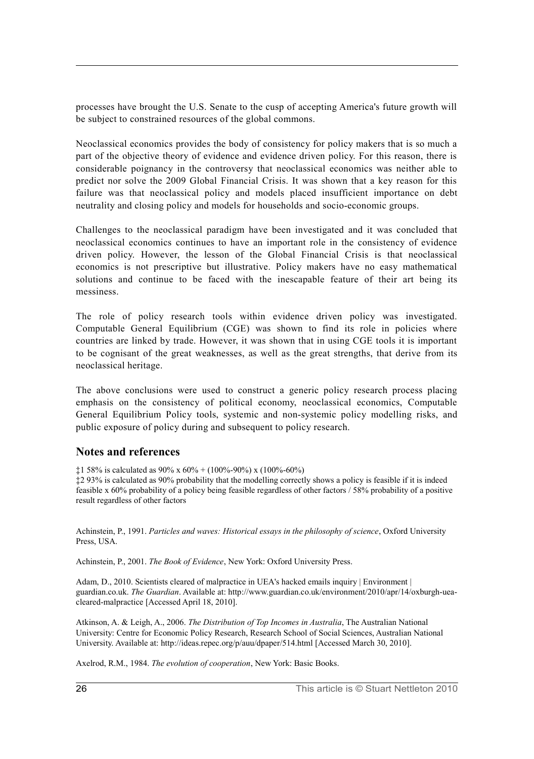processes have brought the U.S. Senate to the cusp of accepting America's future growth will be subject to constrained resources of the global commons.

Neoclassical economics provides the body of consistency for policy makers that is so much a part of the objective theory of evidence and evidence driven policy. For this reason, there is considerable poignancy in the controversy that neoclassical economics was neither able to predict nor solve the 2009 Global Financial Crisis. It was shown that a key reason for this failure was that neoclassical policy and models placed insufficient importance on debt neutrality and closing policy and models for households and socio-economic groups.

Challenges to the neoclassical paradigm have been investigated and it was concluded that neoclassical economics continues to have an important role in the consistency of evidence driven policy. However, the lesson of the Global Financial Crisis is that neoclassical economics is not prescriptive but illustrative. Policy makers have no easy mathematical solutions and continue to be faced with the inescapable feature of their art being its messiness.

The role of policy research tools within evidence driven policy was investigated. Computable General Equilibrium (CGE) was shown to find its role in policies where countries are linked by trade. However, it was shown that in using CGE tools it is important to be cognisant of the great weaknesses, as well as the great strengths, that derive from its neoclassical heritage.

The above conclusions were used to construct a generic policy research process placing emphasis on the consistency of political economy, neoclassical economics, Computable General Equilibrium Policy tools, systemic and non-systemic policy modelling risks, and public exposure of policy during and subsequent to policy research.

## **Notes and references**

 $\text{\textsterling}158\%$  is calculated as 90% x 60% + (100%-90%) x (100%-60%)

‡2 93% is calculated as 90% probability that the modelling correctly shows a policy is feasible if it is indeed feasible x 60% probability of a policy being feasible regardless of other factors / 58% probability of a positive result regardless of other factors

Achinstein, P., 1991. *Particles and waves: Historical essays in the philosophy of science*, Oxford University Press, USA.

Achinstein, P., 2001. *The Book of Evidence*, New York: Oxford University Press.

Adam, D., 2010. Scientists cleared of malpractice in UEA's hacked emails inquiry | Environment | guardian.co.uk. *The Guardian*. Available at: http://www.guardian.co.uk/environment/2010/apr/14/oxburgh-ueacleared-malpractice [Accessed April 18, 2010].

Atkinson, A. & Leigh, A., 2006. *The Distribution of Top Incomes in Australia*, The Australian National University: Centre for Economic Policy Research, Research School of Social Sciences, Australian National University. Available at: http://ideas.repec.org/p/auu/dpaper/514.html [Accessed March 30, 2010].

Axelrod, R.M., 1984. *The evolution of cooperation*, New York: Basic Books.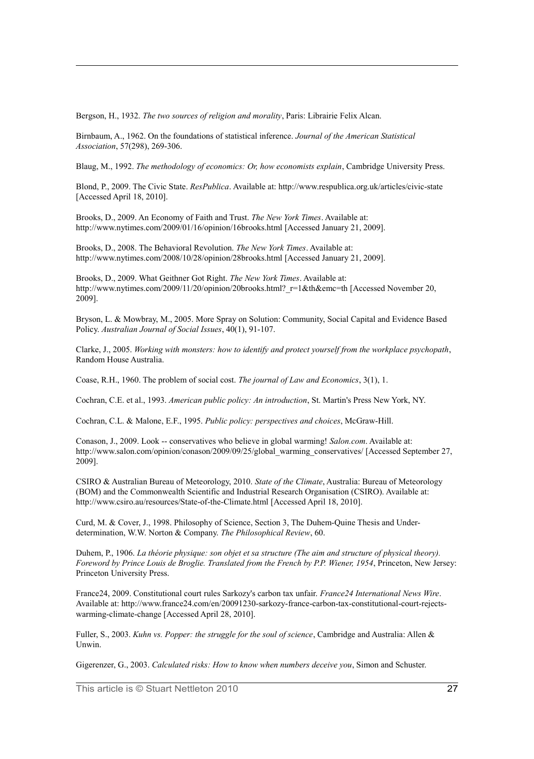Bergson, H., 1932. *The two sources of religion and morality*, Paris: Librairie Felix Alcan.

Birnbaum, A., 1962. On the foundations of statistical inference. *Journal of the American Statistical Association*, 57(298), 269-306.

Blaug, M., 1992. *The methodology of economics: Or, how economists explain*, Cambridge University Press.

Blond, P., 2009. The Civic State. *ResPublica*. Available at: http://www.respublica.org.uk/articles/civic-state [Accessed April 18, 2010].

Brooks, D., 2009. An Economy of Faith and Trust. *The New York Times*. Available at: http://www.nytimes.com/2009/01/16/opinion/16brooks.html [Accessed January 21, 2009].

Brooks, D., 2008. The Behavioral Revolution. *The New York Times*. Available at: http://www.nytimes.com/2008/10/28/opinion/28brooks.html [Accessed January 21, 2009].

Brooks, D., 2009. What Geithner Got Right. *The New York Times*. Available at: http://www.nytimes.com/2009/11/20/opinion/20brooks.html?\_r=1&th&emc=th [Accessed November 20, 2009].

Bryson, L. & Mowbray, M., 2005. More Spray on Solution: Community, Social Capital and Evidence Based Policy. *Australian Journal of Social Issues*, 40(1), 91-107.

Clarke, J., 2005. *Working with monsters: how to identify and protect yourself from the workplace psychopath*, Random House Australia.

Coase, R.H., 1960. The problem of social cost. *The journal of Law and Economics*, 3(1), 1.

Cochran, C.E. et al., 1993. *American public policy: An introduction*, St. Martin's Press New York, NY.

Cochran, C.L. & Malone, E.F., 1995. *Public policy: perspectives and choices*, McGraw-Hill.

Conason, J., 2009. Look -- conservatives who believe in global warming! *Salon.com*. Available at: http://www.salon.com/opinion/conason/2009/09/25/global\_warming\_conservatives/ [Accessed September 27, 2009].

CSIRO & Australian Bureau of Meteorology, 2010. *State of the Climate*, Australia: Bureau of Meteorology (BOM) and the Commonwealth Scientific and Industrial Research Organisation (CSIRO). Available at: http://www.csiro.au/resources/State-of-the-Climate.html [Accessed April 18, 2010].

Curd, M. & Cover, J., 1998. Philosophy of Science, Section 3, The Duhem-Quine Thesis and Underdetermination, W.W. Norton & Company. *The Philosophical Review*, 60.

Duhem, P., 1906. *La théorie physique: son objet et sa structure (The aim and structure of physical theory). Foreword by Prince Louis de Broglie. Translated from the French by P.P. Wiener, 1954*, Princeton, New Jersey: Princeton University Press.

France24, 2009. Constitutional court rules Sarkozy's carbon tax unfair. *France24 International News Wire*. Available at: http://www.france24.com/en/20091230-sarkozy-france-carbon-tax-constitutional-court-rejectswarming-climate-change [Accessed April 28, 2010].

Fuller, S., 2003. *Kuhn vs. Popper: the struggle for the soul of science*, Cambridge and Australia: Allen & Unwin.

Gigerenzer, G., 2003. *Calculated risks: How to know when numbers deceive you*, Simon and Schuster.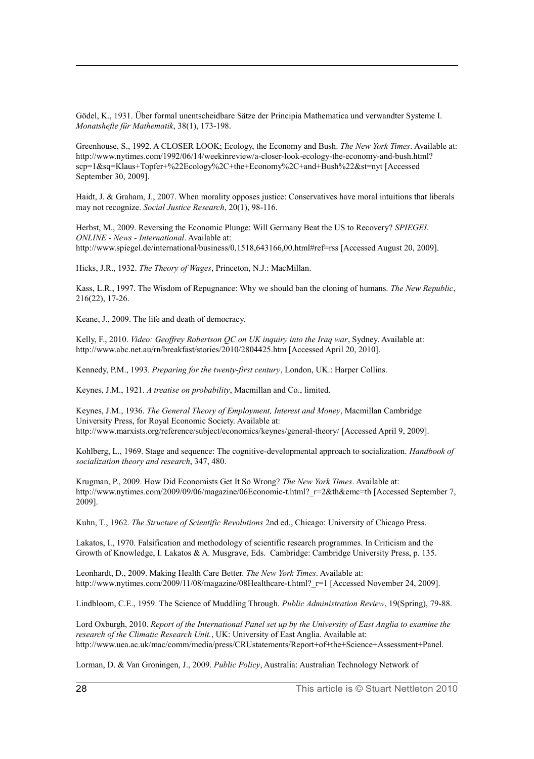Gödel, K., 1931. Über formal unentscheidbare Sätze der Principia Mathematica und verwandter Systeme I. *Monatshefte für Mathematik*, 38(1), 173-198.

Greenhouse, S., 1992. A CLOSER LOOK; Ecology, the Economy and Bush. *The New York Times*. Available at: http://www.nytimes.com/1992/06/14/weekinreview/a-closer-look-ecology-the-economy-and-bush.html? scp=1&sq=Klaus+Topfer+%22Ecology%2C+the+Economy%2C+and+Bush%22&st=nyt [Accessed September 30, 2009].

Haidt, J. & Graham, J., 2007. When morality opposes justice: Conservatives have moral intuitions that liberals may not recognize. *Social Justice Research*, 20(1), 98-116.

Herbst, M., 2009. Reversing the Economic Plunge: Will Germany Beat the US to Recovery? *SPIEGEL ONLINE - News - International*. Available at: http://www.spiegel.de/international/business/0,1518,643166,00.html#ref=rss [Accessed August 20, 2009].

Hicks, J.R., 1932. *The Theory of Wages*, Princeton, N.J.: MacMillan.

Kass, L.R., 1997. The Wisdom of Repugnance: Why we should ban the cloning of humans. *The New Republic*, 216(22), 17-26.

Keane, J., 2009. The life and death of democracy.

Kelly, F., 2010. *Video: Geoffrey Robertson QC on UK inquiry into the Iraq war*, Sydney. Available at: http://www.abc.net.au/rn/breakfast/stories/2010/2804425.htm [Accessed April 20, 2010].

Kennedy, P.M., 1993. *Preparing for the twenty-first century*, London, UK.: Harper Collins.

Keynes, J.M., 1921. *A treatise on probability*, Macmillan and Co., limited.

Keynes, J.M., 1936. *The General Theory of Employment, Interest and Money*, Macmillan Cambridge University Press, for Royal Economic Society. Available at: http://www.marxists.org/reference/subject/economics/keynes/general-theory/ [Accessed April 9, 2009].

Kohlberg, L., 1969. Stage and sequence: The cognitive-developmental approach to socialization. *Handbook of socialization theory and research*, 347, 480.

Krugman, P., 2009. How Did Economists Get It So Wrong? *The New York Times*. Available at: http://www.nytimes.com/2009/09/06/magazine/06Economic-t.html?\_r=2&th&emc=th [Accessed September 7, 2009].

Kuhn, T., 1962. *The Structure of Scientific Revolutions* 2nd ed., Chicago: University of Chicago Press.

Lakatos, I., 1970. Falsification and methodology of scientific research programmes. In Criticism and the Growth of Knowledge, I. Lakatos & A. Musgrave, Eds. Cambridge: Cambridge University Press, p. 135.

Leonhardt, D., 2009. Making Health Care Better. *The New York Times*. Available at: http://www.nytimes.com/2009/11/08/magazine/08Healthcare-t.html?\_r=1 [Accessed November 24, 2009].

Lindbloom, C.E., 1959. The Science of Muddling Through. *Public Administration Review*, 19(Spring), 79-88.

Lord Oxburgh, 2010. *Report of the International Panel set up by the University of East Anglia to examine the research of the Climatic Research Unit.*, UK: University of East Anglia. Available at: http://www.uea.ac.uk/mac/comm/media/press/CRUstatements/Report+of+the+Science+Assessment+Panel.

Lorman, D. & Van Groningen, J., 2009. *Public Policy*, Australia: Australian Technology Network of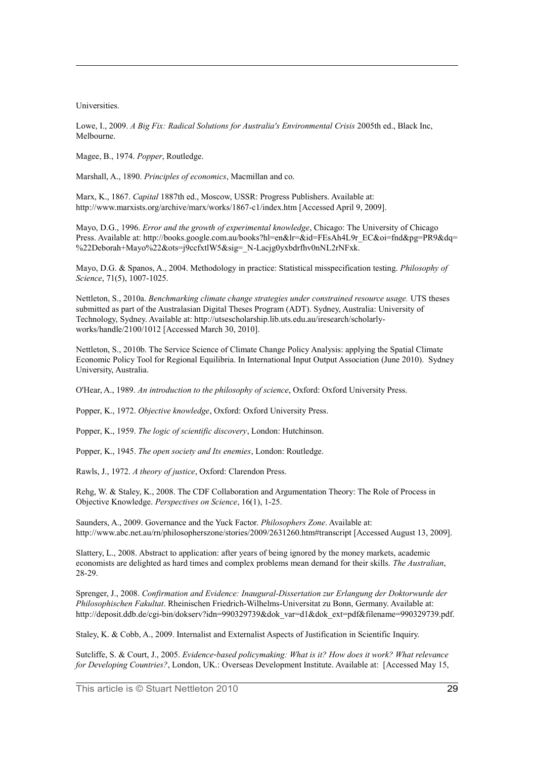Universities.

Lowe, I., 2009. *A Big Fix: Radical Solutions for Australia's Environmental Crisis* 2005th ed., Black Inc, Melbourne.

Magee, B., 1974. *Popper*, Routledge.

Marshall, A., 1890. *Principles of economics*, Macmillan and co.

Marx, K., 1867. *Capital* 1887th ed., Moscow, USSR: Progress Publishers. Available at: http://www.marxists.org/archive/marx/works/1867-c1/index.htm [Accessed April 9, 2009].

Mayo, D.G., 1996. *Error and the growth of experimental knowledge*, Chicago: The University of Chicago Press. Available at: http://books.google.com.au/books?hl=en&lr=&id=FEsAh4L9r\_EC&oi=fnd&pg=PR9&dq= %22Deborah+Mayo%22&ots=j9ccfxtlW5&sig=\_N-Lacjg0yxbdrfhv0nNL2rNFxk.

Mayo, D.G. & Spanos, A., 2004. Methodology in practice: Statistical misspecification testing. *Philosophy of Science*, 71(5), 1007-1025.

Nettleton, S., 2010a. *Benchmarking climate change strategies under constrained resource usage.* UTS theses submitted as part of the Australasian Digital Theses Program (ADT). Sydney, Australia: University of Technology, Sydney. Available at: http://utsescholarship.lib.uts.edu.au/iresearch/scholarlyworks/handle/2100/1012 [Accessed March 30, 2010].

Nettleton, S., 2010b. The Service Science of Climate Change Policy Analysis: applying the Spatial Climate Economic Policy Tool for Regional Equilibria. In International Input Output Association (June 2010). Sydney University, Australia.

O'Hear, A., 1989. *An introduction to the philosophy of science*, Oxford: Oxford University Press.

Popper, K., 1972. *Objective knowledge*, Oxford: Oxford University Press.

Popper, K., 1959. *The logic of scientific discovery*, London: Hutchinson.

Popper, K., 1945. *The open society and Its enemies*, London: Routledge.

Rawls, J., 1972. *A theory of justice*, Oxford: Clarendon Press.

Rehg, W. & Staley, K., 2008. The CDF Collaboration and Argumentation Theory: The Role of Process in Objective Knowledge. *Perspectives on Science*, 16(1), 1-25.

Saunders, A., 2009. Governance and the Yuck Factor. *Philosophers Zone*. Available at: http://www.abc.net.au/rn/philosopherszone/stories/2009/2631260.htm#transcript [Accessed August 13, 2009].

Slattery, L., 2008. Abstract to application: after years of being ignored by the money markets, academic economists are delighted as hard times and complex problems mean demand for their skills. *The Australian*, 28-29.

Sprenger, J., 2008. *Confirmation and Evidence: Inaugural-Dissertation zur Erlangung der Doktorwurde der Philosophischen Fakultat*. Rheinischen Friedrich-Wilhelms-Universitat zu Bonn, Germany. Available at: http://deposit.ddb.de/cgi-bin/dokserv?idn=990329739&dok\_var=d1&dok\_ext=pdf&filename=990329739.pdf.

Staley, K. & Cobb, A., 2009. Internalist and Externalist Aspects of Justification in Scientific Inquiry.

Sutcliffe, S. & Court, J., 2005. *Evidence-based policymaking: What is it? How does it work? What relevance for Developing Countries?*, London, UK.: Overseas Development Institute. Available at: [Accessed May 15,